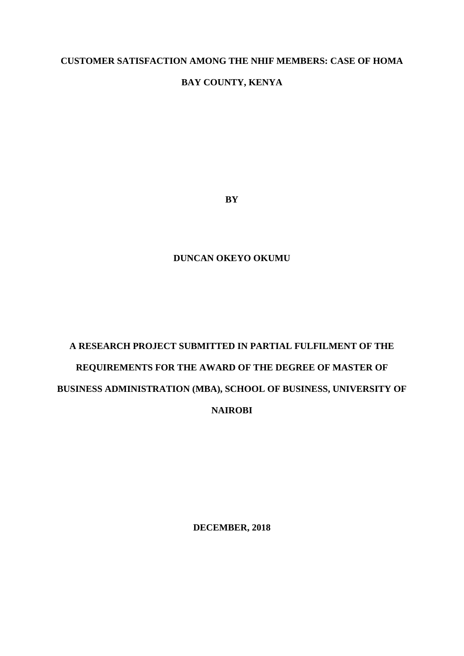## **CUSTOMER SATISFACTION AMONG THE NHIF MEMBERS: CASE OF HOMA**

## **BAY COUNTY, KENYA**

**BY**

## **DUNCAN OKEYO OKUMU**

# **A RESEARCH PROJECT SUBMITTED IN PARTIAL FULFILMENT OF THE REQUIREMENTS FOR THE AWARD OF THE DEGREE OF MASTER OF BUSINESS ADMINISTRATION (MBA), SCHOOL OF BUSINESS, UNIVERSITY OF NAIROBI**

**DECEMBER, 2018**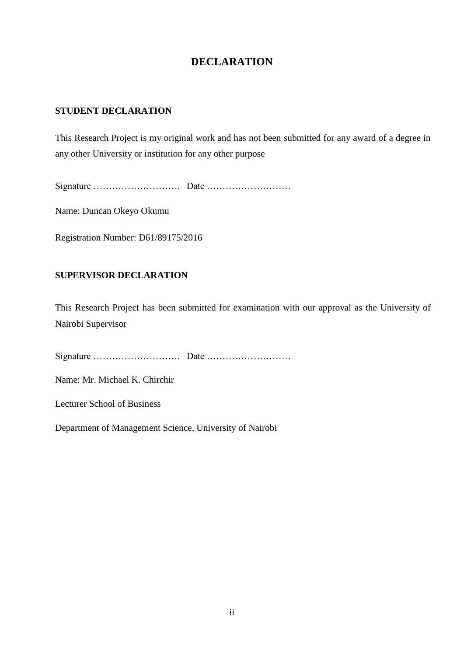# **DECLARATION**

## <span id="page-1-0"></span>**STUDENT DECLARATION**

This Research Project is my original work and has not been submitted for any award of a degree in any other University or institution for any other purpose

Signature ………………………. Date ………………………

Name: Duncan Okeyo Okumu

Registration Number: D61/89175/2016

## **SUPERVISOR DECLARATION**

This Research Project has been submitted for examination with our approval as the University of Nairobi Supervisor

Signature ………………………. Date ………………………

Name: Mr. Michael K. Chirchir

Lecturer School of Business

Department of Management Science, University of Nairobi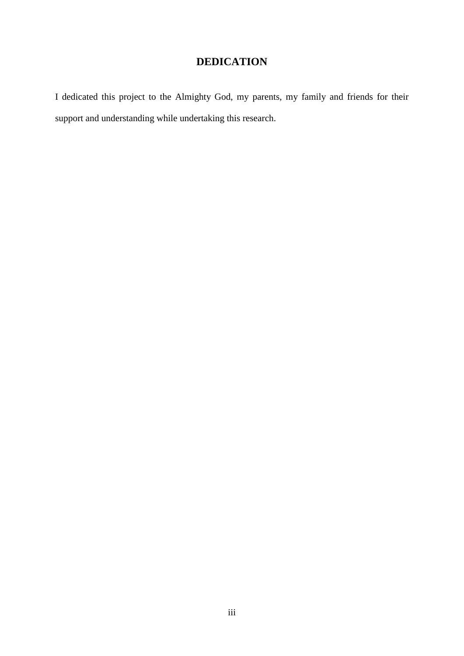# **DEDICATION**

<span id="page-2-0"></span>I dedicated this project to the Almighty God, my parents, my family and friends for their support and understanding while undertaking this research.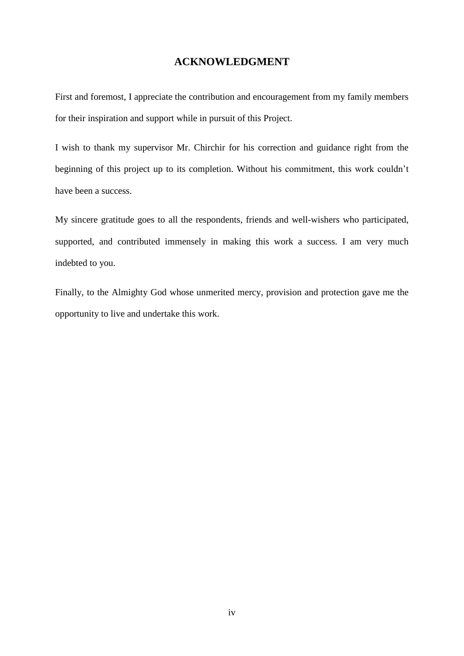## **ACKNOWLEDGMENT**

<span id="page-3-0"></span>First and foremost, I appreciate the contribution and encouragement from my family members for their inspiration and support while in pursuit of this Project.

I wish to thank my supervisor Mr. Chirchir for his correction and guidance right from the beginning of this project up to its completion. Without his commitment, this work couldn't have been a success.

My sincere gratitude goes to all the respondents, friends and well-wishers who participated, supported, and contributed immensely in making this work a success. I am very much indebted to you.

Finally, to the Almighty God whose unmerited mercy, provision and protection gave me the opportunity to live and undertake this work.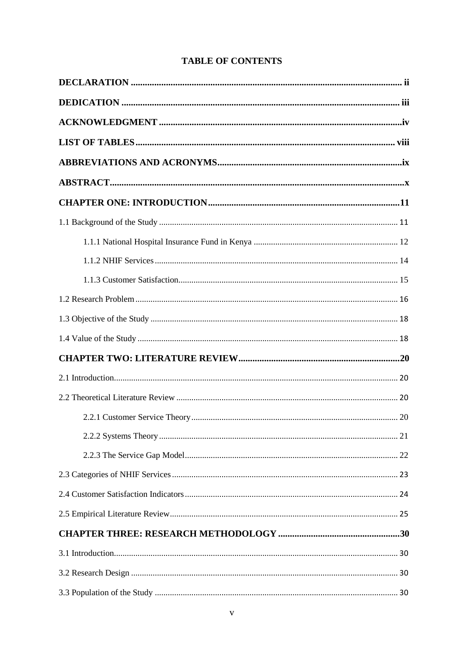# **TABLE OF CONTENTS**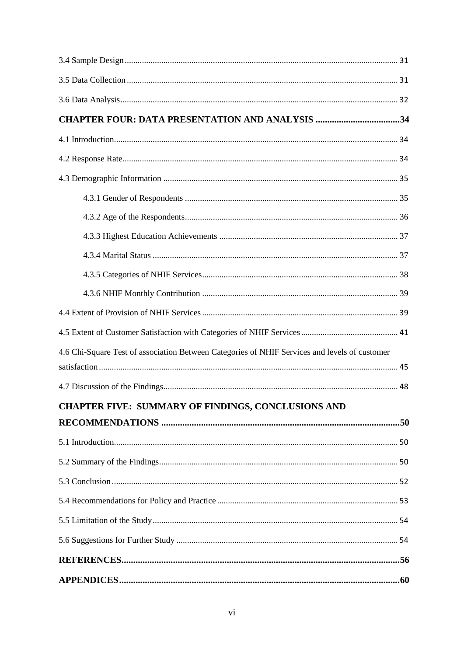| <b>CHAPTER FOUR: DATA PRESENTATION AND ANALYSIS 34</b>                                        |  |
|-----------------------------------------------------------------------------------------------|--|
|                                                                                               |  |
|                                                                                               |  |
|                                                                                               |  |
|                                                                                               |  |
|                                                                                               |  |
|                                                                                               |  |
|                                                                                               |  |
|                                                                                               |  |
|                                                                                               |  |
|                                                                                               |  |
|                                                                                               |  |
| 4.6 Chi-Square Test of association Between Categories of NHIF Services and levels of customer |  |
|                                                                                               |  |
|                                                                                               |  |
| CHAPTER FIVE: SUMMARY OF FINDINGS, CONCLUSIONS AND                                            |  |
|                                                                                               |  |
|                                                                                               |  |
|                                                                                               |  |
|                                                                                               |  |
|                                                                                               |  |
|                                                                                               |  |
|                                                                                               |  |
|                                                                                               |  |
|                                                                                               |  |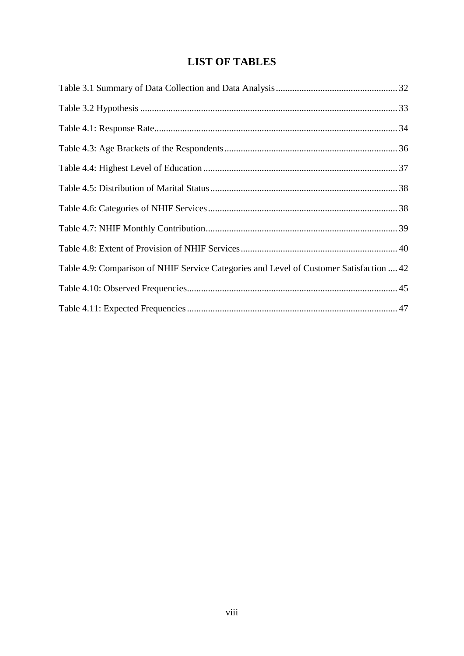# **LIST OF TABLES**

<span id="page-7-0"></span>

| Table 4.9: Comparison of NHIF Service Categories and Level of Customer Satisfaction  42 |  |
|-----------------------------------------------------------------------------------------|--|
|                                                                                         |  |
|                                                                                         |  |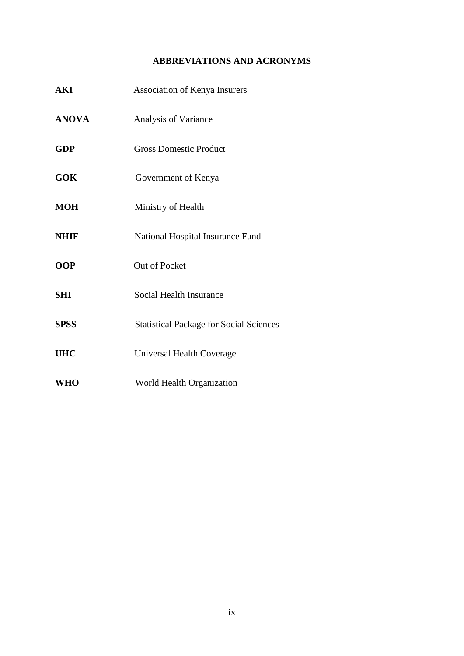## **ABBREVIATIONS AND ACRONYMS**

<span id="page-8-0"></span>

| <b>AKI</b>   | Association of Kenya Insurers                  |
|--------------|------------------------------------------------|
| <b>ANOVA</b> | Analysis of Variance                           |
| <b>GDP</b>   | <b>Gross Domestic Product</b>                  |
| <b>GOK</b>   | Government of Kenya                            |
| <b>MOH</b>   | Ministry of Health                             |
| <b>NHIF</b>  | National Hospital Insurance Fund               |
| <b>OOP</b>   | Out of Pocket                                  |
| <b>SHI</b>   | Social Health Insurance                        |
| <b>SPSS</b>  | <b>Statistical Package for Social Sciences</b> |
| <b>UHC</b>   | Universal Health Coverage                      |
| <b>WHO</b>   | World Health Organization                      |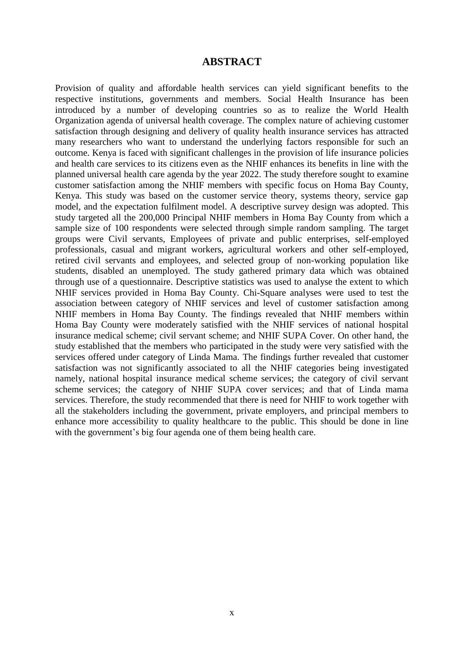## **ABSTRACT**

<span id="page-9-0"></span>Provision of quality and affordable health services can yield significant benefits to the respective institutions, governments and members. Social Health Insurance has been introduced by a number of developing countries so as to realize the World Health Organization agenda of universal health coverage. The complex nature of achieving customer satisfaction through designing and delivery of quality health insurance services has attracted many researchers who want to understand the underlying factors responsible for such an outcome. Kenya is faced with significant challenges in the provision of life insurance policies and health care services to its citizens even as the NHIF enhances its benefits in line with the planned universal health care agenda by the year 2022. The study therefore sought to examine customer satisfaction among the NHIF members with specific focus on Homa Bay County, Kenya. This study was based on the customer service theory, systems theory, service gap model, and the expectation fulfilment model. A descriptive survey design was adopted. This study targeted all the 200,000 Principal NHIF members in Homa Bay County from which a sample size of 100 respondents were selected through simple random sampling. The target groups were Civil servants, Employees of private and public enterprises, self-employed professionals, casual and migrant workers, agricultural workers and other self-employed, retired civil servants and employees, and selected group of non-working population like students, disabled an unemployed. The study gathered primary data which was obtained through use of a questionnaire. Descriptive statistics was used to analyse the extent to which NHIF services provided in Homa Bay County. Chi-Square analyses were used to test the association between category of NHIF services and level of customer satisfaction among NHIF members in Homa Bay County. The findings revealed that NHIF members within Homa Bay County were moderately satisfied with the NHIF services of national hospital insurance medical scheme; civil servant scheme; and NHIF SUPA Cover. On other hand, the study established that the members who participated in the study were very satisfied with the services offered under category of Linda Mama. The findings further revealed that customer satisfaction was not significantly associated to all the NHIF categories being investigated namely, national hospital insurance medical scheme services; the category of civil servant scheme services; the category of NHIF SUPA cover services; and that of Linda mama services. Therefore, the study recommended that there is need for NHIF to work together with all the stakeholders including the government, private employers, and principal members to enhance more accessibility to quality healthcare to the public. This should be done in line with the government's big four agenda one of them being health care.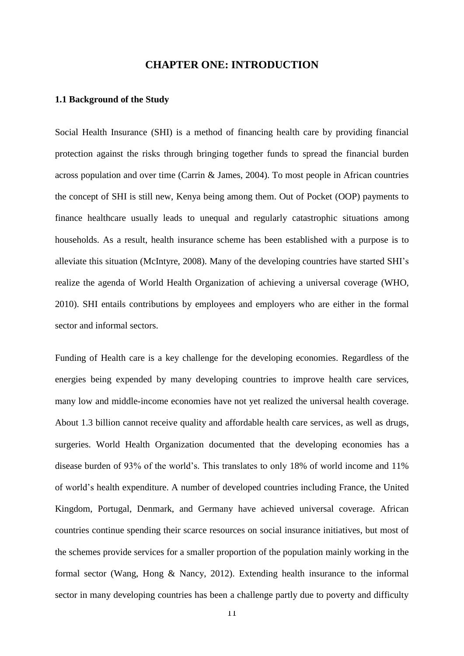## **CHAPTER ONE: INTRODUCTION**

#### <span id="page-10-1"></span><span id="page-10-0"></span>**1.1 Background of the Study**

Social Health Insurance (SHI) is a method of financing health care by providing financial protection against the risks through bringing together funds to spread the financial burden across population and over time (Carrin & James, 2004). To most people in African countries the concept of SHI is still new, Kenya being among them. Out of Pocket (OOP) payments to finance healthcare usually leads to unequal and regularly catastrophic situations among households. As a result, health insurance scheme has been established with a purpose is to alleviate this situation (McIntyre, 2008). Many of the developing countries have started SHI's realize the agenda of World Health Organization of achieving a universal coverage (WHO, 2010). SHI entails contributions by employees and employers who are either in the formal sector and informal sectors.

Funding of Health care is a key challenge for the developing economies. Regardless of the energies being expended by many developing countries to improve health care services, many low and middle-income economies have not yet realized the universal health coverage. About 1.3 billion cannot receive quality and affordable health care services, as well as drugs, surgeries. World Health Organization documented that the developing economies has a disease burden of 93% of the world's. This translates to only 18% of world income and 11% of world's health expenditure. A number of developed countries including France, the United Kingdom, Portugal, Denmark, and Germany have achieved universal coverage. African countries continue spending their scarce resources on social insurance initiatives, but most of the schemes provide services for a smaller proportion of the population mainly working in the formal sector (Wang, Hong & Nancy, 2012). Extending health insurance to the informal sector in many developing countries has been a challenge partly due to poverty and difficulty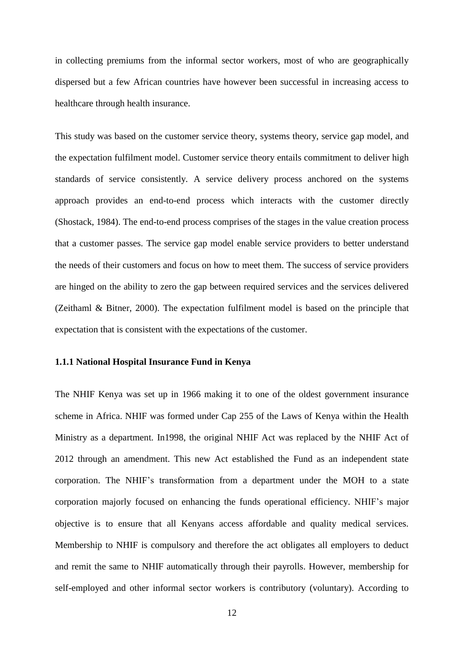in collecting premiums from the informal sector workers, most of who are geographically dispersed but a few African countries have however been successful in increasing access to healthcare through health insurance.

This study was based on the customer service theory, systems theory, service gap model, and the expectation fulfilment model. Customer service theory entails commitment to deliver high standards of service consistently. A service delivery process anchored on the systems approach provides an end-to-end process which interacts with the customer directly (Shostack, 1984). The end-to-end process comprises of the stages in the value creation process that a customer passes. The service gap model enable service providers to better understand the needs of their customers and focus on how to meet them. The success of service providers are hinged on the ability to zero the gap between required services and the services delivered (Zeithaml & Bitner, 2000). The expectation fulfilment model is based on the principle that expectation that is consistent with the expectations of the customer.

## <span id="page-11-0"></span>**1.1.1 National Hospital Insurance Fund in Kenya**

The NHIF Kenya was set up in 1966 making it to one of the oldest government insurance scheme in Africa. NHIF was formed under Cap 255 of the Laws of Kenya within the Health Ministry as a department. In1998, the original NHIF Act was replaced by the NHIF Act of 2012 through an amendment. This new Act established the Fund as an independent state corporation. The NHIF's transformation from a department under the MOH to a state corporation majorly focused on enhancing the funds operational efficiency. NHIF's major objective is to ensure that all Kenyans access affordable and quality medical services. Membership to NHIF is compulsory and therefore the act obligates all employers to deduct and remit the same to NHIF automatically through their payrolls. However, membership for self-employed and other informal sector workers is contributory (voluntary). According to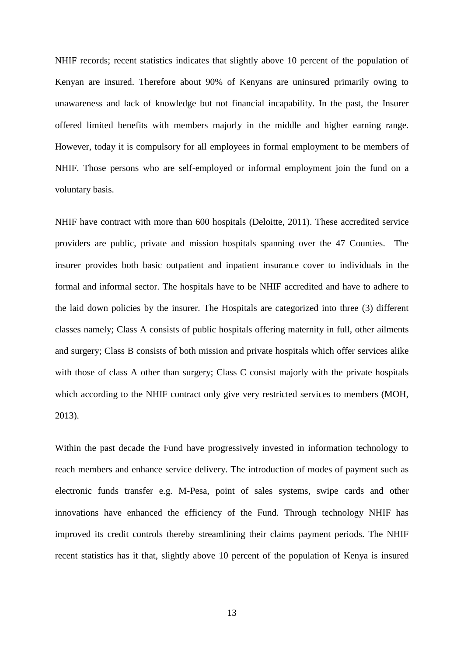NHIF records; recent statistics indicates that slightly above 10 percent of the population of Kenyan are insured. Therefore about 90% of Kenyans are uninsured primarily owing to unawareness and lack of knowledge but not financial incapability. In the past, the Insurer offered limited benefits with members majorly in the middle and higher earning range. However, today it is compulsory for all employees in formal employment to be members of NHIF. Those persons who are self-employed or informal employment join the fund on a voluntary basis.

NHIF have contract with more than 600 hospitals (Deloitte, 2011). These accredited service providers are public, private and mission hospitals spanning over the 47 Counties. The insurer provides both basic outpatient and inpatient insurance cover to individuals in the formal and informal sector. The hospitals have to be NHIF accredited and have to adhere to the laid down policies by the insurer. The Hospitals are categorized into three (3) different classes namely; Class A consists of public hospitals offering maternity in full, other ailments and surgery; Class B consists of both mission and private hospitals which offer services alike with those of class A other than surgery; Class C consist majorly with the private hospitals which according to the NHIF contract only give very restricted services to members (MOH, 2013).

Within the past decade the Fund have progressively invested in information technology to reach members and enhance service delivery. The introduction of modes of payment such as electronic funds transfer e.g. M-Pesa, point of sales systems, swipe cards and other innovations have enhanced the efficiency of the Fund. Through technology NHIF has improved its credit controls thereby streamlining their claims payment periods. The NHIF recent statistics has it that, slightly above 10 percent of the population of Kenya is insured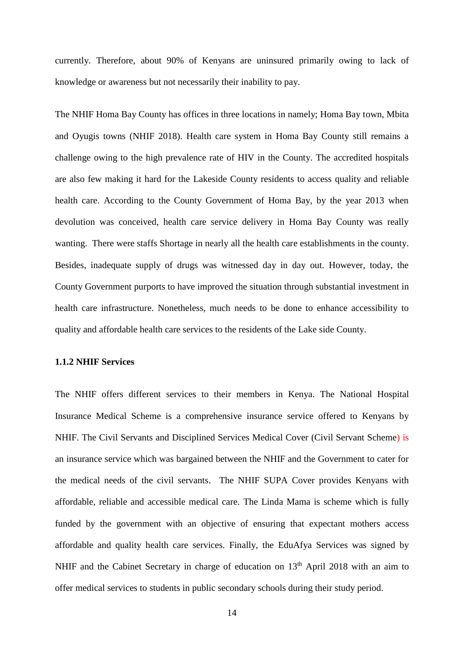currently. Therefore, about 90% of Kenyans are uninsured primarily owing to lack of knowledge or awareness but not necessarily their inability to pay.

The NHIF Homa Bay County has offices in three locations in namely; Homa Bay town, Mbita and Oyugis towns (NHIF 2018). Health care system in Homa Bay County still remains a challenge owing to the high prevalence rate of HIV in the County. The accredited hospitals are also few making it hard for the Lakeside County residents to access quality and reliable health care. According to the County Government of Homa Bay, by the year 2013 when devolution was conceived, health care service delivery in Homa Bay County was really wanting. There were staffs Shortage in nearly all the health care establishments in the county. Besides, inadequate supply of drugs was witnessed day in day out. However, today, the County Government purports to have improved the situation through substantial investment in health care infrastructure. Nonetheless, much needs to be done to enhance accessibility to quality and affordable health care services to the residents of the Lake side County.

## <span id="page-13-0"></span>**1.1.2 NHIF Services**

The NHIF offers different services to their members in Kenya. The National Hospital Insurance Medical Scheme is a comprehensive insurance service offered to Kenyans by NHIF. The Civil Servants and Disciplined Services Medical Cover (Civil Servant Scheme) is an insurance service which was bargained between the NHIF and the Government to cater for the medical needs of the civil servants. The NHIF SUPA Cover provides Kenyans with affordable, reliable and accessible medical care. The Linda Mama is scheme which is fully funded by the government with an objective of ensuring that expectant mothers access affordable and quality health care services. Finally, the EduAfya Services was signed by NHIF and the Cabinet Secretary in charge of education on 13<sup>th</sup> April 2018 with an aim to offer medical services to students in public secondary schools during their study period.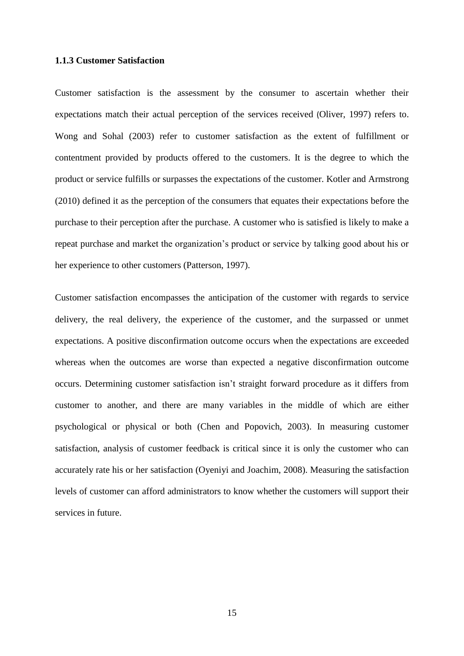## <span id="page-14-0"></span>**1.1.3 Customer Satisfaction**

Customer satisfaction is the assessment by the consumer to ascertain whether their expectations match their actual perception of the services received (Oliver, 1997) refers to. Wong and Sohal (2003) refer to customer satisfaction as the extent of fulfillment or contentment provided by products offered to the customers. It is the degree to which the product or service fulfills or surpasses the expectations of the customer. Kotler and Armstrong (2010) defined it as the perception of the consumers that equates their expectations before the purchase to their perception after the purchase. A customer who is satisfied is likely to make a repeat purchase and market the organization's product or service by talking good about his or her experience to other customers (Patterson, 1997).

Customer satisfaction encompasses the anticipation of the customer with regards to service delivery, the real delivery, the experience of the customer, and the surpassed or unmet expectations. A positive disconfirmation outcome occurs when the expectations are exceeded whereas when the outcomes are worse than expected a negative disconfirmation outcome occurs. Determining customer satisfaction isn't straight forward procedure as it differs from customer to another, and there are many variables in the middle of which are either psychological or physical or both (Chen and Popovich, 2003). In measuring customer satisfaction, analysis of customer feedback is critical since it is only the customer who can accurately rate his or her satisfaction (Oyeniyi and Joachim, 2008). Measuring the satisfaction levels of customer can afford administrators to know whether the customers will support their services in future.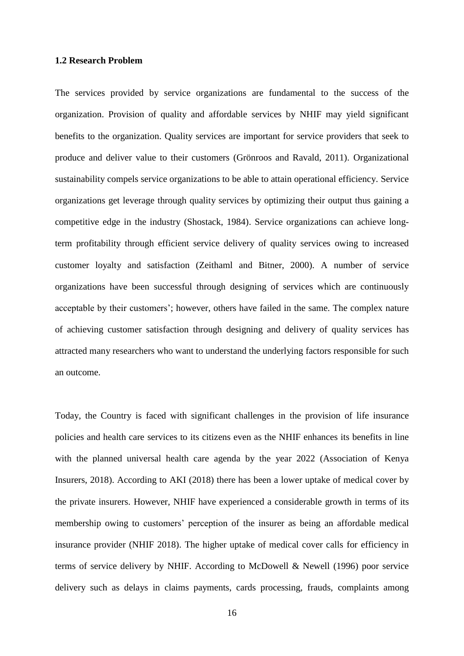### <span id="page-15-0"></span>**1.2 Research Problem**

The services provided by service organizations are fundamental to the success of the organization. Provision of quality and affordable services by NHIF may yield significant benefits to the organization. Quality services are important for service providers that seek to produce and deliver value to their customers (Grönroos and Ravald, 2011). Organizational sustainability compels service organizations to be able to attain operational efficiency. Service organizations get leverage through quality services by optimizing their output thus gaining a competitive edge in the industry (Shostack, 1984). Service organizations can achieve longterm profitability through efficient service delivery of quality services owing to increased customer loyalty and satisfaction (Zeithaml and Bitner, 2000). A number of service organizations have been successful through designing of services which are continuously acceptable by their customers'; however, others have failed in the same. The complex nature of achieving customer satisfaction through designing and delivery of quality services has attracted many researchers who want to understand the underlying factors responsible for such an outcome.

Today, the Country is faced with significant challenges in the provision of life insurance policies and health care services to its citizens even as the NHIF enhances its benefits in line with the planned universal health care agenda by the year 2022 (Association of Kenya Insurers, 2018). According to AKI (2018) there has been a lower uptake of medical cover by the private insurers. However, NHIF have experienced a considerable growth in terms of its membership owing to customers' perception of the insurer as being an affordable medical insurance provider (NHIF 2018). The higher uptake of medical cover calls for efficiency in terms of service delivery by NHIF. According to McDowell & Newell (1996) poor service delivery such as delays in claims payments, cards processing, frauds, complaints among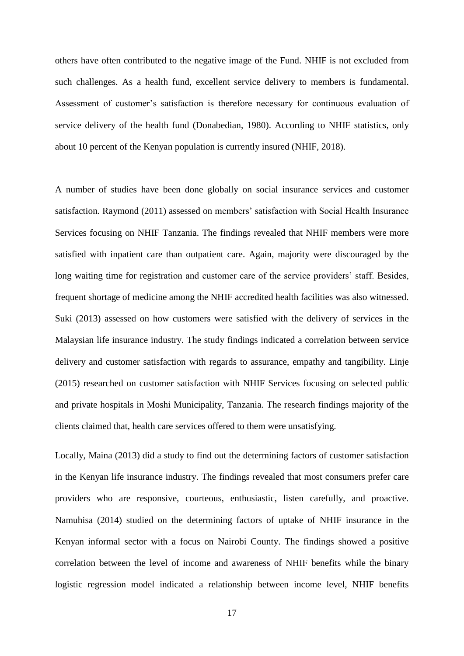others have often contributed to the negative image of the Fund. NHIF is not excluded from such challenges. As a health fund, excellent service delivery to members is fundamental. Assessment of customer's satisfaction is therefore necessary for continuous evaluation of service delivery of the health fund (Donabedian, 1980). According to NHIF statistics, only about 10 percent of the Kenyan population is currently insured (NHIF, 2018).

A number of studies have been done globally on social insurance services and customer satisfaction. Raymond (2011) assessed on members' satisfaction with Social Health Insurance Services focusing on NHIF Tanzania. The findings revealed that NHIF members were more satisfied with inpatient care than outpatient care. Again, majority were discouraged by the long waiting time for registration and customer care of the service providers' staff. Besides, frequent shortage of medicine among the NHIF accredited health facilities was also witnessed. Suki (2013) assessed on how customers were satisfied with the delivery of services in the Malaysian life insurance industry. The study findings indicated a correlation between service delivery and customer satisfaction with regards to assurance, empathy and tangibility. Linje (2015) researched on customer satisfaction with NHIF Services focusing on selected public and private hospitals in Moshi Municipality, Tanzania. The research findings majority of the clients claimed that, health care services offered to them were unsatisfying.

Locally, Maina (2013) did a study to find out the determining factors of customer satisfaction in the Kenyan life insurance industry. The findings revealed that most consumers prefer care providers who are responsive, courteous, enthusiastic, listen carefully, and proactive. Namuhisa (2014) studied on the determining factors of uptake of NHIF insurance in the Kenyan informal sector with a focus on Nairobi County. The findings showed a positive correlation between the level of income and awareness of NHIF benefits while the binary logistic regression model indicated a relationship between income level, NHIF benefits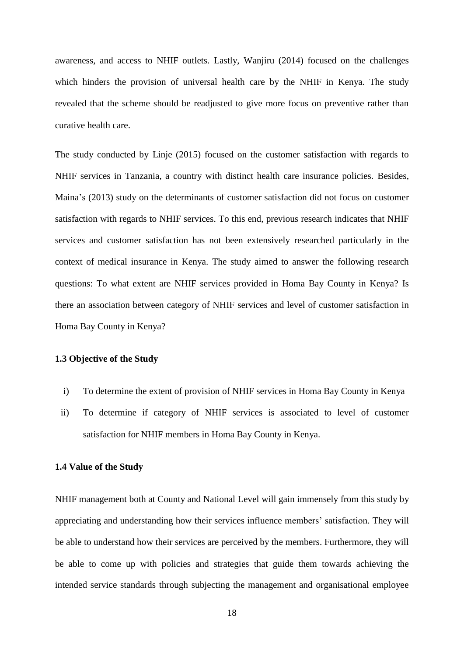awareness, and access to NHIF outlets. Lastly, Wanjiru (2014) focused on the challenges which hinders the provision of universal health care by the NHIF in Kenya. The study revealed that the scheme should be readjusted to give more focus on preventive rather than curative health care.

The study conducted by Linje (2015) focused on the customer satisfaction with regards to NHIF services in Tanzania, a country with distinct health care insurance policies. Besides, Maina's (2013) study on the determinants of customer satisfaction did not focus on customer satisfaction with regards to NHIF services. To this end, previous research indicates that NHIF services and customer satisfaction has not been extensively researched particularly in the context of medical insurance in Kenya. The study aimed to answer the following research questions: To what extent are NHIF services provided in Homa Bay County in Kenya? Is there an association between category of NHIF services and level of customer satisfaction in Homa Bay County in Kenya?

## <span id="page-17-0"></span>**1.3 Objective of the Study**

- i) To determine the extent of provision of NHIF services in Homa Bay County in Kenya
- ii) To determine if category of NHIF services is associated to level of customer satisfaction for NHIF members in Homa Bay County in Kenya.

### <span id="page-17-1"></span>**1.4 Value of the Study**

NHIF management both at County and National Level will gain immensely from this study by appreciating and understanding how their services influence members' satisfaction. They will be able to understand how their services are perceived by the members. Furthermore, they will be able to come up with policies and strategies that guide them towards achieving the intended service standards through subjecting the management and organisational employee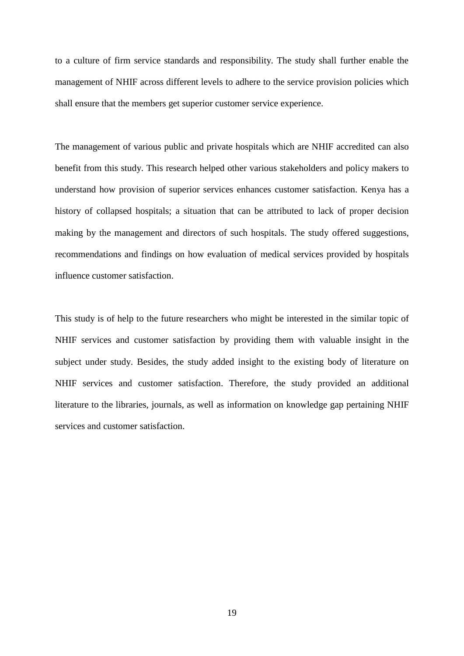to a culture of firm service standards and responsibility. The study shall further enable the management of NHIF across different levels to adhere to the service provision policies which shall ensure that the members get superior customer service experience.

The management of various public and private hospitals which are NHIF accredited can also benefit from this study. This research helped other various stakeholders and policy makers to understand how provision of superior services enhances customer satisfaction. Kenya has a history of collapsed hospitals; a situation that can be attributed to lack of proper decision making by the management and directors of such hospitals. The study offered suggestions, recommendations and findings on how evaluation of medical services provided by hospitals influence customer satisfaction.

This study is of help to the future researchers who might be interested in the similar topic of NHIF services and customer satisfaction by providing them with valuable insight in the subject under study. Besides, the study added insight to the existing body of literature on NHIF services and customer satisfaction. Therefore, the study provided an additional literature to the libraries, journals, as well as information on knowledge gap pertaining NHIF services and customer satisfaction.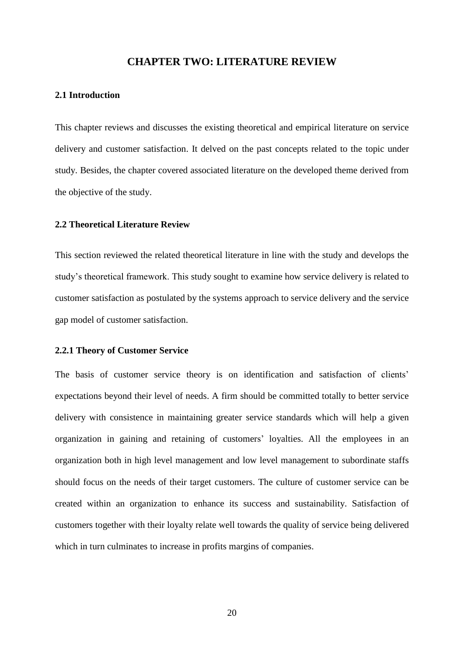## **CHAPTER TWO: LITERATURE REVIEW**

## <span id="page-19-1"></span><span id="page-19-0"></span>**2.1 Introduction**

This chapter reviews and discusses the existing theoretical and empirical literature on service delivery and customer satisfaction. It delved on the past concepts related to the topic under study. Besides, the chapter covered associated literature on the developed theme derived from the objective of the study.

#### <span id="page-19-2"></span>**2.2 Theoretical Literature Review**

This section reviewed the related theoretical literature in line with the study and develops the study's theoretical framework. This study sought to examine how service delivery is related to customer satisfaction as postulated by the systems approach to service delivery and the service gap model of customer satisfaction.

#### <span id="page-19-3"></span>**2.2.1 Theory of Customer Service**

The basis of customer service theory is on identification and satisfaction of clients' expectations beyond their level of needs. A firm should be committed totally to better service delivery with consistence in maintaining greater service standards which will help a given organization in gaining and retaining of customers' loyalties. All the employees in an organization both in high level management and low level management to subordinate staffs should focus on the needs of their target customers. The culture of customer service can be created within an organization to enhance its success and sustainability. Satisfaction of customers together with their loyalty relate well towards the quality of service being delivered which in turn culminates to increase in profits margins of companies.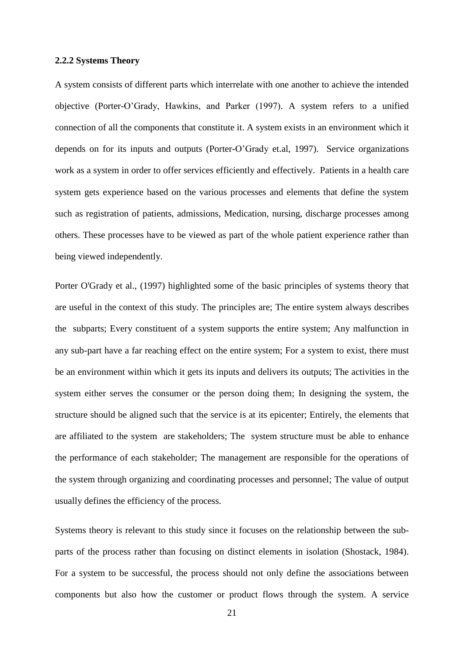### <span id="page-20-0"></span>**2.2.2 Systems Theory**

A system consists of different parts which interrelate with one another to achieve the intended objective (Porter-O'Grady, Hawkins, and Parker (1997). A system refers to a unified connection of all the components that constitute it. A system exists in an environment which it depends on for its inputs and outputs (Porter-O'Grady et.al, 1997). Service organizations work as a system in order to offer services efficiently and effectively. Patients in a health care system gets experience based on the various processes and elements that define the system such as registration of patients, admissions, Medication, nursing, discharge processes among others. These processes have to be viewed as part of the whole patient experience rather than being viewed independently.

Porter O'Grady et al., (1997) highlighted some of the basic principles of systems theory that are useful in the context of this study. The principles are; The entire system always describes the subparts; Every constituent of a system supports the entire system; Any malfunction in any sub-part have a far reaching effect on the entire system; For a system to exist, there must be an environment within which it gets its inputs and delivers its outputs; The activities in the system either serves the consumer or the person doing them; In designing the system, the structure should be aligned such that the service is at its epicenter; Entirely, the elements that are affiliated to the system are stakeholders; The system structure must be able to enhance the performance of each stakeholder; The management are responsible for the operations of the system through organizing and coordinating processes and personnel; The value of output usually defines the efficiency of the process.

Systems theory is relevant to this study since it focuses on the relationship between the subparts of the process rather than focusing on distinct elements in isolation (Shostack, 1984). For a system to be successful, the process should not only define the associations between components but also how the customer or product flows through the system. A service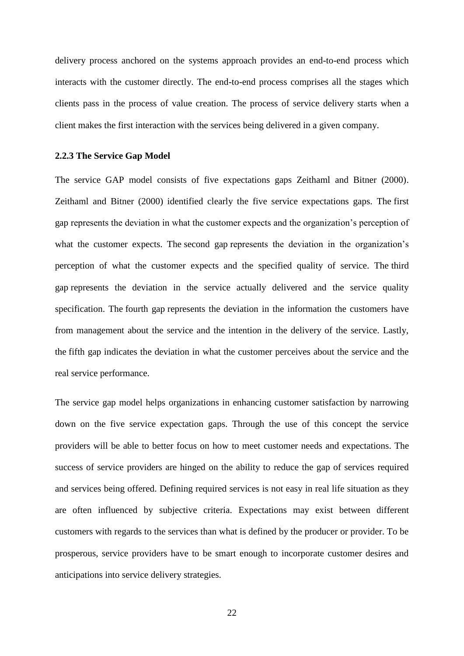delivery process anchored on the systems approach provides an end-to-end process which interacts with the customer directly. The end-to-end process comprises all the stages which clients pass in the process of value creation. The process of service delivery starts when a client makes the first interaction with the services being delivered in a given company.

#### <span id="page-21-0"></span>**2.2.3 The Service Gap Model**

The service GAP model consists of five expectations gaps Zeithaml and Bitner (2000). Zeithaml and Bitner (2000) identified clearly the five service expectations gaps. The first gap represents the deviation in what the customer expects and the organization's perception of what the customer expects. The second gap represents the deviation in the organization's perception of what the customer expects and the specified quality of service. The third gap represents the deviation in the service actually delivered and the service quality specification. The fourth gap represents the deviation in the information the customers have from management about the service and the intention in the delivery of the service. Lastly, the fifth gap indicates the deviation in what the customer perceives about the service and the real service performance.

The service gap model helps organizations in enhancing customer satisfaction by narrowing down on the five service expectation gaps. Through the use of this concept the service providers will be able to better focus on how to meet customer needs and expectations. The success of service providers are hinged on the ability to reduce the gap of services required and services being offered. Defining required services is not easy in real life situation as they are often influenced by subjective criteria. Expectations may exist between different customers with regards to the services than what is defined by the producer or provider. To be prosperous, service providers have to be smart enough to incorporate customer desires and anticipations into service delivery strategies.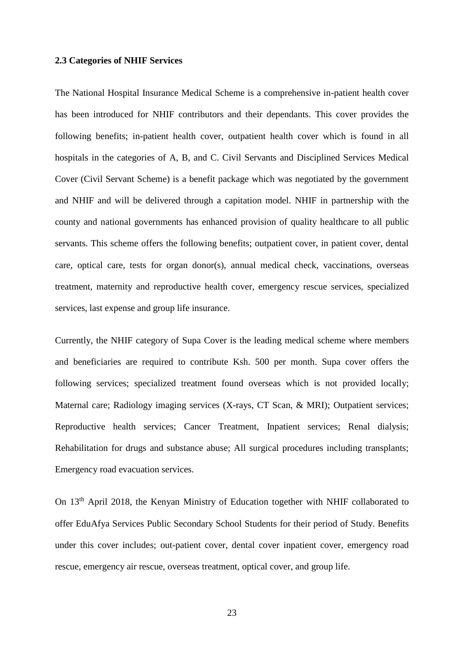#### <span id="page-22-0"></span>**2.3 Categories of NHIF Services**

The National Hospital Insurance Medical Scheme is a comprehensive in-patient health cover has been introduced for NHIF contributors and their dependants. This cover provides the following benefits; in-patient health cover, outpatient health cover which is found in all hospitals in the categories of A, B, and C. Civil Servants and Disciplined Services Medical Cover (Civil Servant Scheme) is a benefit package which was negotiated by the government and NHIF and will be delivered through a capitation model. NHIF in partnership with the county and national governments has enhanced provision of quality healthcare to all public servants. This scheme offers the following benefits; outpatient cover, in patient cover, dental care, optical care, tests for organ donor(s), annual medical check, vaccinations, overseas treatment, maternity and reproductive health cover, emergency rescue services, specialized services, last expense and group life insurance.

Currently, the NHIF category of Supa Cover is the leading medical scheme where members and beneficiaries are required to contribute Ksh. 500 per month. Supa cover offers the following services; specialized treatment found overseas which is not provided locally; Maternal care; Radiology imaging services (X-rays, CT Scan, & MRI); Outpatient services; Reproductive health services; Cancer Treatment, Inpatient services; Renal dialysis; Rehabilitation for drugs and substance abuse; All surgical procedures including transplants; Emergency road evacuation services.

On 13<sup>th</sup> April 2018, the Kenyan Ministry of Education together with NHIF collaborated to offer EduAfya Services Public Secondary School Students for their period of Study. Benefits under this cover includes; out-patient cover, dental cover inpatient cover, emergency road rescue, emergency air rescue, overseas treatment, optical cover, and group life.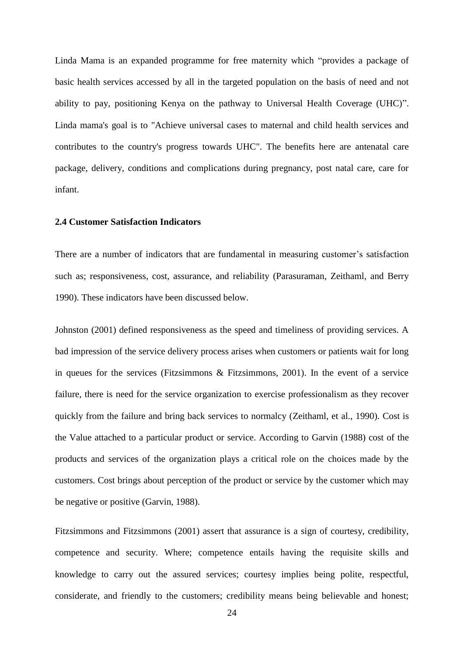Linda Mama is an expanded programme for free maternity which "provides a package of basic health services accessed by all in the targeted population on the basis of need and not ability to pay, positioning Kenya on the pathway to Universal Health Coverage (UHC)". Linda mama's goal is to "Achieve universal cases to maternal and child health services and contributes to the country's progress towards UHC". The benefits here are antenatal care package, delivery, conditions and complications during pregnancy, post natal care, care for infant.

#### <span id="page-23-0"></span>**2.4 Customer Satisfaction Indicators**

There are a number of indicators that are fundamental in measuring customer's satisfaction such as; responsiveness, cost, assurance, and reliability (Parasuraman, Zeithaml, and Berry 1990). These indicators have been discussed below.

Johnston (2001) defined responsiveness as the speed and timeliness of providing services. A bad impression of the service delivery process arises when customers or patients wait for long in queues for the services (Fitzsimmons & Fitzsimmons, 2001). In the event of a service failure, there is need for the service organization to exercise professionalism as they recover quickly from the failure and bring back services to normalcy (Zeithaml, et al., 1990). Cost is the Value attached to a particular product or service. According to Garvin (1988) cost of the products and services of the organization plays a critical role on the choices made by the customers. Cost brings about perception of the product or service by the customer which may be negative or positive (Garvin, 1988).

Fitzsimmons and Fitzsimmons (2001) assert that assurance is a sign of courtesy, credibility, competence and security. Where; competence entails having the requisite skills and knowledge to carry out the assured services; courtesy implies being polite, respectful, considerate, and friendly to the customers; credibility means being believable and honest;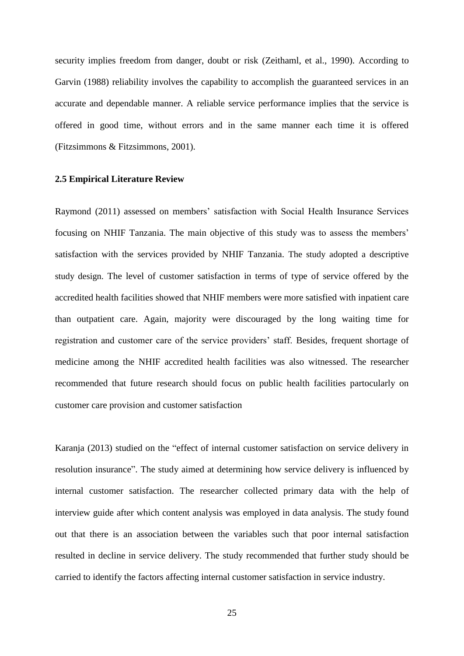security implies freedom from danger, doubt or risk (Zeithaml, et al., 1990). According to Garvin (1988) reliability involves the capability to accomplish the guaranteed services in an accurate and dependable manner. A reliable service performance implies that the service is offered in good time, without errors and in the same manner each time it is offered (Fitzsimmons & Fitzsimmons, 2001).

#### <span id="page-24-0"></span>**2.5 Empirical Literature Review**

Raymond (2011) assessed on members' satisfaction with Social Health Insurance Services focusing on NHIF Tanzania. The main objective of this study was to assess the members' satisfaction with the services provided by NHIF Tanzania. The study adopted a descriptive study design. The level of customer satisfaction in terms of type of service offered by the accredited health facilities showed that NHIF members were more satisfied with inpatient care than outpatient care. Again, majority were discouraged by the long waiting time for registration and customer care of the service providers' staff. Besides, frequent shortage of medicine among the NHIF accredited health facilities was also witnessed. The researcher recommended that future research should focus on public health facilities partocularly on customer care provision and customer satisfaction

Karanja (2013) studied on the "effect of internal customer satisfaction on service delivery in resolution insurance". The study aimed at determining how service delivery is influenced by internal customer satisfaction. The researcher collected primary data with the help of interview guide after which content analysis was employed in data analysis. The study found out that there is an association between the variables such that poor internal satisfaction resulted in decline in service delivery. The study recommended that further study should be carried to identify the factors affecting internal customer satisfaction in service industry.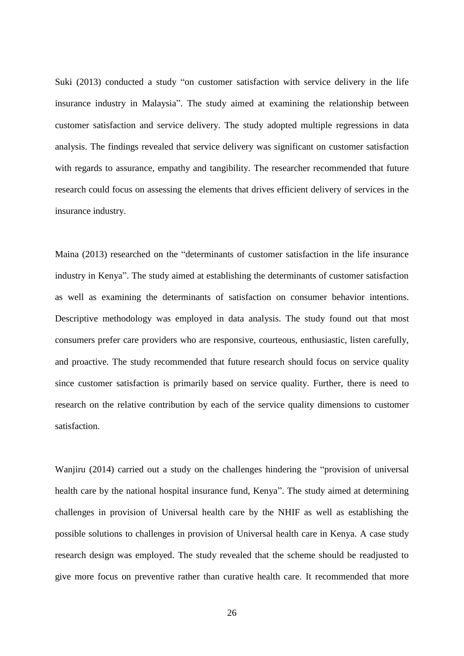Suki (2013) conducted a study "on customer satisfaction with service delivery in the life insurance industry in Malaysia". The study aimed at examining the relationship between customer satisfaction and service delivery. The study adopted multiple regressions in data analysis. The findings revealed that service delivery was significant on customer satisfaction with regards to assurance, empathy and tangibility. The researcher recommended that future research could focus on assessing the elements that drives efficient delivery of services in the insurance industry.

Maina (2013) researched on the "determinants of customer satisfaction in the life insurance industry in Kenya". The study aimed at establishing the determinants of customer satisfaction as well as examining the determinants of satisfaction on consumer behavior intentions. Descriptive methodology was employed in data analysis. The study found out that most consumers prefer care providers who are responsive, courteous, enthusiastic, listen carefully, and proactive. The study recommended that future research should focus on service quality since customer satisfaction is primarily based on service quality. Further, there is need to research on the relative contribution by each of the service quality dimensions to customer satisfaction.

Wanjiru (2014) carried out a study on the challenges hindering the "provision of universal health care by the national hospital insurance fund, Kenya". The study aimed at determining challenges in provision of Universal health care by the NHIF as well as establishing the possible solutions to challenges in provision of Universal health care in Kenya. A case study research design was employed. The study revealed that the scheme should be readjusted to give more focus on preventive rather than curative health care. It recommended that more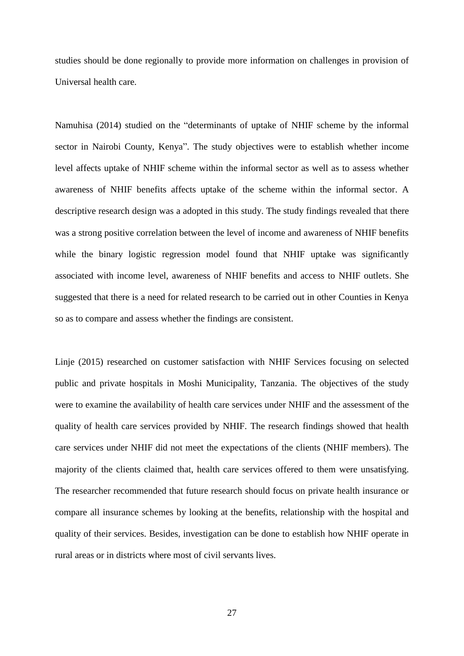studies should be done regionally to provide more information on challenges in provision of Universal health care.

Namuhisa (2014) studied on the "determinants of uptake of NHIF scheme by the informal sector in Nairobi County, Kenya". The study objectives were to establish whether income level affects uptake of NHIF scheme within the informal sector as well as to assess whether awareness of NHIF benefits affects uptake of the scheme within the informal sector. A descriptive research design was a adopted in this study. The study findings revealed that there was a strong positive correlation between the level of income and awareness of NHIF benefits while the binary logistic regression model found that NHIF uptake was significantly associated with income level, awareness of NHIF benefits and access to NHIF outlets. She suggested that there is a need for related research to be carried out in other Counties in Kenya so as to compare and assess whether the findings are consistent.

Linje (2015) researched on customer satisfaction with NHIF Services focusing on selected public and private hospitals in Moshi Municipality, Tanzania. The objectives of the study were to examine the availability of health care services under NHIF and the assessment of the quality of health care services provided by NHIF. The research findings showed that health care services under NHIF did not meet the expectations of the clients (NHIF members). The majority of the clients claimed that, health care services offered to them were unsatisfying. The researcher recommended that future research should focus on private health insurance or compare all insurance schemes by looking at the benefits, relationship with the hospital and quality of their services. Besides, investigation can be done to establish how NHIF operate in rural areas or in districts where most of civil servants lives.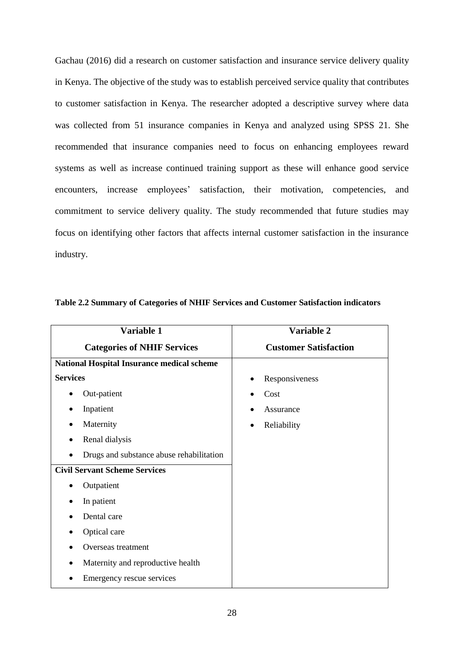Gachau (2016) did a research on customer satisfaction and insurance service delivery quality in Kenya. The objective of the study was to establish perceived service quality that contributes to customer satisfaction in Kenya. The researcher adopted a descriptive survey where data was collected from 51 insurance companies in Kenya and analyzed using SPSS 21. She recommended that insurance companies need to focus on enhancing employees reward systems as well as increase continued training support as these will enhance good service encounters, increase employees' satisfaction, their motivation, competencies, and commitment to service delivery quality. The study recommended that future studies may focus on identifying other factors that affects internal customer satisfaction in the insurance industry.

| Variable 1                                        | Variable 2                   |  |  |
|---------------------------------------------------|------------------------------|--|--|
| <b>Categories of NHIF Services</b>                | <b>Customer Satisfaction</b> |  |  |
| <b>National Hospital Insurance medical scheme</b> |                              |  |  |
| <b>Services</b>                                   | Responsiveness               |  |  |
| Out-patient                                       | Cost                         |  |  |
| Inpatient                                         | Assurance                    |  |  |
| Maternity                                         | Reliability<br>$\bullet$     |  |  |
| Renal dialysis                                    |                              |  |  |
| Drugs and substance abuse rehabilitation          |                              |  |  |
| <b>Civil Servant Scheme Services</b>              |                              |  |  |
| Outpatient                                        |                              |  |  |
| In patient                                        |                              |  |  |
| Dental care                                       |                              |  |  |
| Optical care                                      |                              |  |  |
| Overseas treatment                                |                              |  |  |
| Maternity and reproductive health                 |                              |  |  |
| Emergency rescue services                         |                              |  |  |

| Table 2.2 Summary of Categories of NHIF Services and Customer Satisfaction indicators |  |  |  |  |
|---------------------------------------------------------------------------------------|--|--|--|--|
|                                                                                       |  |  |  |  |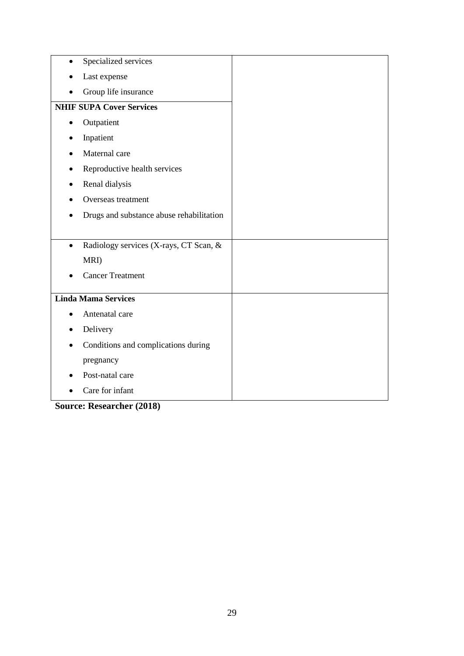| Specialized services<br>$\bullet$                   |  |
|-----------------------------------------------------|--|
| Last expense                                        |  |
| Group life insurance                                |  |
| <b>NHIF SUPA Cover Services</b>                     |  |
| Outpatient                                          |  |
| Inpatient                                           |  |
| Maternal care                                       |  |
| Reproductive health services                        |  |
| Renal dialysis                                      |  |
| Overseas treatment                                  |  |
| Drugs and substance abuse rehabilitation            |  |
|                                                     |  |
| Radiology services (X-rays, CT Scan, &<br>$\bullet$ |  |
| MRI)                                                |  |
| <b>Cancer Treatment</b>                             |  |
| <b>Linda Mama Services</b>                          |  |
| Antenatal care                                      |  |
| Delivery<br>$\bullet$                               |  |
| Conditions and complications during                 |  |
| pregnancy                                           |  |
| Post-natal care                                     |  |
|                                                     |  |

**Source: Researcher (2018)**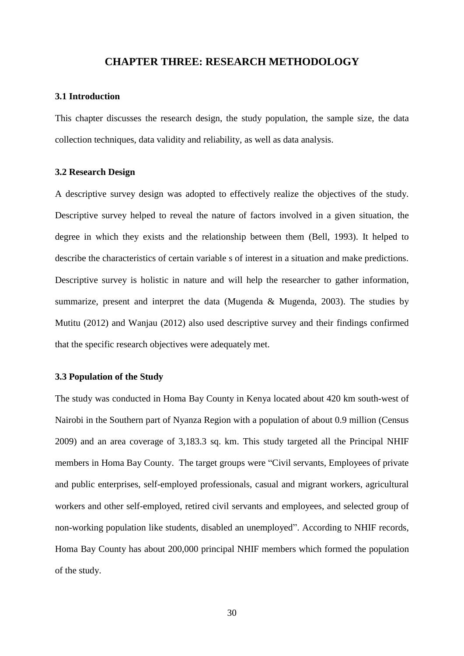## **CHAPTER THREE: RESEARCH METHODOLOGY**

### <span id="page-29-1"></span><span id="page-29-0"></span>**3.1 Introduction**

This chapter discusses the research design, the study population, the sample size, the data collection techniques, data validity and reliability, as well as data analysis.

#### <span id="page-29-2"></span>**3.2 Research Design**

A descriptive survey design was adopted to effectively realize the objectives of the study. Descriptive survey helped to reveal the nature of factors involved in a given situation, the degree in which they exists and the relationship between them (Bell, 1993). It helped to describe the characteristics of certain variable s of interest in a situation and make predictions. Descriptive survey is holistic in nature and will help the researcher to gather information, summarize, present and interpret the data (Mugenda  $\&$  Mugenda, 2003). The studies by Mutitu (2012) and Wanjau (2012) also used descriptive survey and their findings confirmed that the specific research objectives were adequately met.

### <span id="page-29-3"></span>**3.3 Population of the Study**

The study was conducted in Homa Bay County in Kenya located about 420 km south-west of Nairobi in the Southern part of Nyanza Region with a population of about 0.9 million (Census 2009) and an area coverage of 3,183.3 sq. km. This study targeted all the Principal NHIF members in Homa Bay County. The target groups were "Civil servants, Employees of private and public enterprises, self-employed professionals, casual and migrant workers, agricultural workers and other self-employed, retired civil servants and employees, and selected group of non-working population like students, disabled an unemployed". According to NHIF records, Homa Bay County has about 200,000 principal NHIF members which formed the population of the study.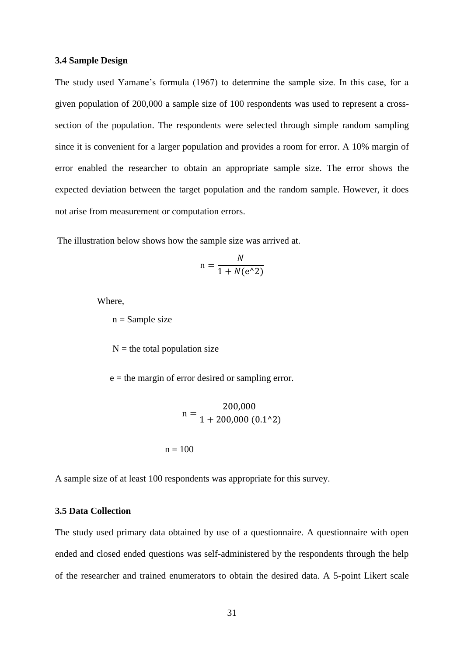#### <span id="page-30-0"></span>**3.4 Sample Design**

The study used Yamane's formula (1967) to determine the sample size. In this case, for a given population of 200,000 a sample size of 100 respondents was used to represent a crosssection of the population. The respondents were selected through simple random sampling since it is convenient for a larger population and provides a room for error. A 10% margin of error enabled the researcher to obtain an appropriate sample size. The error shows the expected deviation between the target population and the random sample. However, it does not arise from measurement or computation errors.

The illustration below shows how the sample size was arrived at.

$$
n = \frac{N}{1 + N(e^{\wedge}2)}
$$

Where,

 $n =$  Sample size

 $N =$  the total population size

e = the margin of error desired or sampling error.

$$
n = \frac{200,000}{1 + 200,000 (0.1^2)}
$$
  
n = 100

A sample size of at least 100 respondents was appropriate for this survey.

## <span id="page-30-1"></span>**3.5 Data Collection**

The study used primary data obtained by use of a questionnaire. A questionnaire with open ended and closed ended questions was self-administered by the respondents through the help of the researcher and trained enumerators to obtain the desired data. A 5-point Likert scale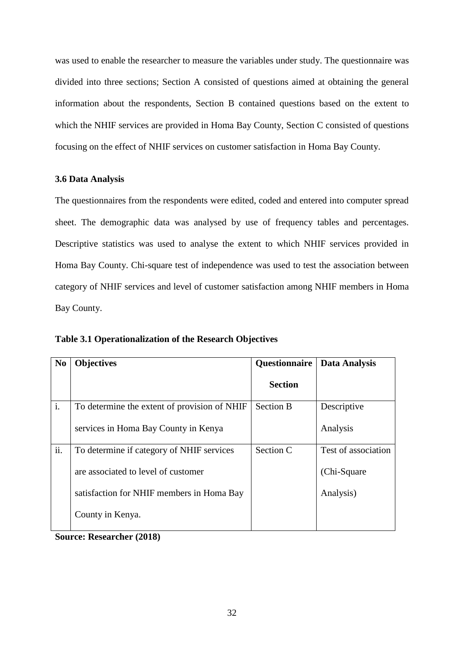was used to enable the researcher to measure the variables under study. The questionnaire was divided into three sections; Section A consisted of questions aimed at obtaining the general information about the respondents, Section B contained questions based on the extent to which the NHIF services are provided in Homa Bay County, Section C consisted of questions focusing on the effect of NHIF services on customer satisfaction in Homa Bay County.

## <span id="page-31-0"></span>**3.6 Data Analysis**

The questionnaires from the respondents were edited, coded and entered into computer spread sheet. The demographic data was analysed by use of frequency tables and percentages. Descriptive statistics was used to analyse the extent to which NHIF services provided in Homa Bay County. Chi-square test of independence was used to test the association between category of NHIF services and level of customer satisfaction among NHIF members in Homa Bay County.

<span id="page-31-1"></span>

|  | Table 3.1 Operationalization of the Research Objectives |  |  |
|--|---------------------------------------------------------|--|--|
|--|---------------------------------------------------------|--|--|

| N <sub>0</sub> | <b>Objectives</b>                            | <b>Questionnaire</b> | <b>Data Analysis</b> |
|----------------|----------------------------------------------|----------------------|----------------------|
|                |                                              | <b>Section</b>       |                      |
| i.             | To determine the extent of provision of NHIF | <b>Section B</b>     | Descriptive          |
|                | services in Homa Bay County in Kenya         |                      | Analysis             |
| ii.            | To determine if category of NHIF services    | Section C            | Test of association  |
|                | are associated to level of customer          |                      | (Chi-Square)         |
|                | satisfaction for NHIF members in Homa Bay    |                      | Analysis)            |
|                | County in Kenya.                             |                      |                      |

**Source: Researcher (2018)**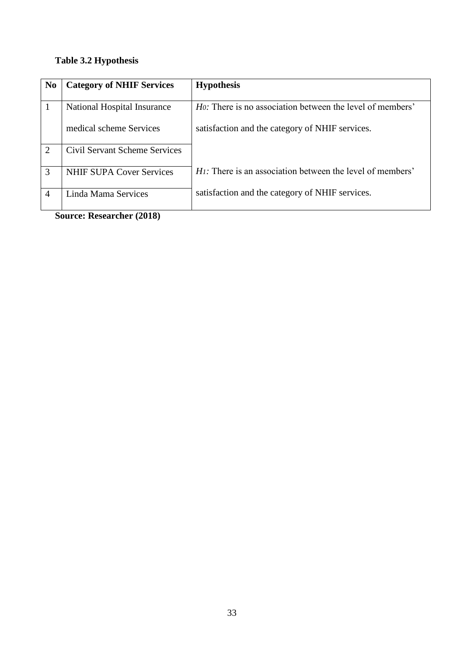# <span id="page-32-0"></span>**Table 3.2 Hypothesis**

| N <sub>0</sub> | <b>Category of NHIF Services</b>     | <b>Hypothesis</b>                                                 |
|----------------|--------------------------------------|-------------------------------------------------------------------|
|                |                                      |                                                                   |
|                | National Hospital Insurance          | <i>Ho</i> : There is no association between the level of members' |
|                | medical scheme Services              | satisfaction and the category of NHIF services.                   |
| $\overline{2}$ | <b>Civil Servant Scheme Services</b> |                                                                   |
|                |                                      |                                                                   |
| 3              | <b>NHIF SUPA Cover Services</b>      | $H$ . There is an association between the level of members'       |
|                |                                      |                                                                   |
| 4              | Linda Mama Services                  | satisfaction and the category of NHIF services.                   |
|                |                                      |                                                                   |

**Source: Researcher (2018)**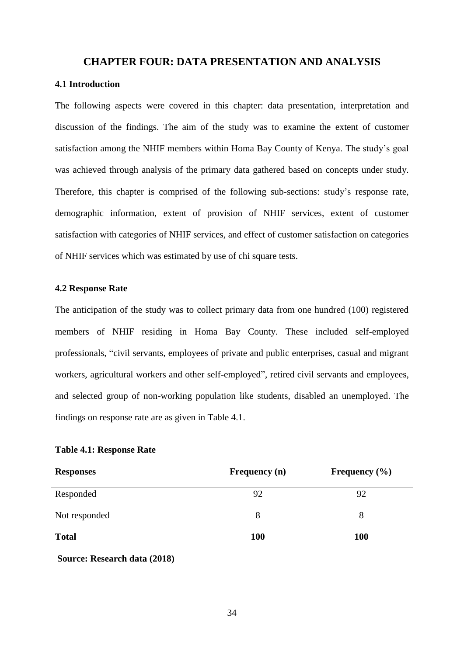## **CHAPTER FOUR: DATA PRESENTATION AND ANALYSIS**

## <span id="page-33-1"></span><span id="page-33-0"></span>**4.1 Introduction**

The following aspects were covered in this chapter: data presentation, interpretation and discussion of the findings. The aim of the study was to examine the extent of customer satisfaction among the NHIF members within Homa Bay County of Kenya. The study's goal was achieved through analysis of the primary data gathered based on concepts under study. Therefore, this chapter is comprised of the following sub-sections: study's response rate, demographic information, extent of provision of NHIF services, extent of customer satisfaction with categories of NHIF services, and effect of customer satisfaction on categories of NHIF services which was estimated by use of chi square tests.

### <span id="page-33-2"></span>**4.2 Response Rate**

The anticipation of the study was to collect primary data from one hundred (100) registered members of NHIF residing in Homa Bay County. These included self-employed professionals, "civil servants, employees of private and public enterprises, casual and migrant workers, agricultural workers and other self-employed", retired civil servants and employees, and selected group of non-working population like students, disabled an unemployed. The findings on response rate are as given in Table 4.1.

| <b>Responses</b> | Frequency (n) | Frequency $(\% )$ |
|------------------|---------------|-------------------|
| Responded        | 92            | 92                |
| Not responded    | 8             | 8                 |
| <b>Total</b>     | <b>100</b>    | <b>100</b>        |

<span id="page-33-3"></span>**Table 4.1: Response Rate**

**Source: Research data (2018)**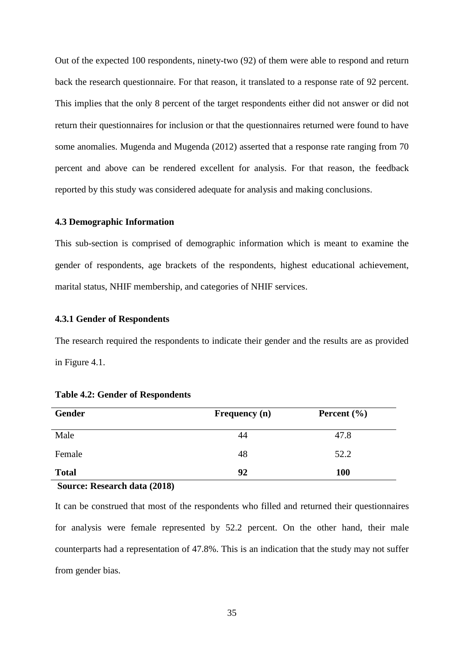Out of the expected 100 respondents, ninety-two (92) of them were able to respond and return back the research questionnaire. For that reason, it translated to a response rate of 92 percent. This implies that the only 8 percent of the target respondents either did not answer or did not return their questionnaires for inclusion or that the questionnaires returned were found to have some anomalies. Mugenda and Mugenda (2012) asserted that a response rate ranging from 70 percent and above can be rendered excellent for analysis. For that reason, the feedback reported by this study was considered adequate for analysis and making conclusions.

### <span id="page-34-0"></span>**4.3 Demographic Information**

This sub-section is comprised of demographic information which is meant to examine the gender of respondents, age brackets of the respondents, highest educational achievement, marital status, NHIF membership, and categories of NHIF services.

#### <span id="page-34-1"></span>**4.3.1 Gender of Respondents**

The research required the respondents to indicate their gender and the results are as provided in Figure 4.1.

| Gender                                                  | Frequency (n) | Percent $(\% )$ |  |
|---------------------------------------------------------|---------------|-----------------|--|
| Male                                                    | 44            | 47.8            |  |
| Female                                                  | 48            | 52.2            |  |
| <b>Total</b>                                            | 92            | <b>100</b>      |  |
| $\sim$<br>$1 \quad 1 \quad 1 \quad 1$<br>$\blacksquare$ |               |                 |  |

### **Source: Research data (2018)**

It can be construed that most of the respondents who filled and returned their questionnaires for analysis were female represented by 52.2 percent. On the other hand, their male counterparts had a representation of 47.8%. This is an indication that the study may not suffer from gender bias.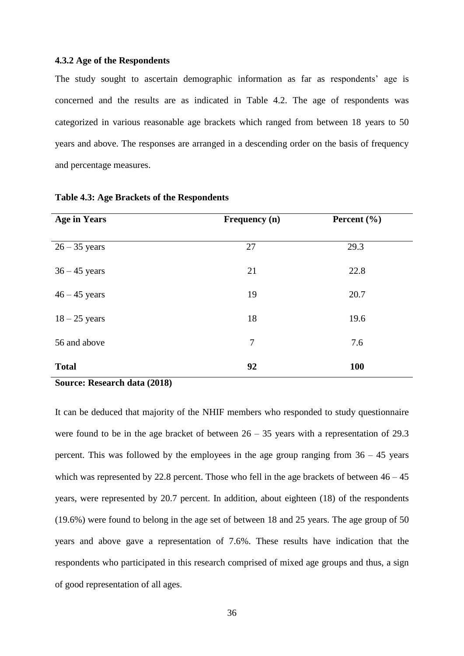## <span id="page-35-0"></span>**4.3.2 Age of the Respondents**

The study sought to ascertain demographic information as far as respondents' age is concerned and the results are as indicated in Table 4.2. The age of respondents was categorized in various reasonable age brackets which ranged from between 18 years to 50 years and above. The responses are arranged in a descending order on the basis of frequency and percentage measures.

| <b>Age in Years</b> | Frequency (n) | Percent $(\% )$ |
|---------------------|---------------|-----------------|
|                     |               |                 |
| $26 - 35$ years     | 27            | 29.3            |
|                     |               |                 |
| $36 - 45$ years     | 21            | 22.8            |
| $46 - 45$ years     | 19            | 20.7            |
|                     |               |                 |
| $18 - 25$ years     | 18            | 19.6            |
|                     |               |                 |
| 56 and above        | 7             | 7.6             |
|                     |               |                 |
| <b>Total</b>        | 92            | 100             |

#### <span id="page-35-1"></span>**Table 4.3: Age Brackets of the Respondents**

## **Source: Research data (2018)**

It can be deduced that majority of the NHIF members who responded to study questionnaire were found to be in the age bracket of between  $26 - 35$  years with a representation of 29.3 percent. This was followed by the employees in the age group ranging from  $36 - 45$  years which was represented by 22.8 percent. Those who fell in the age brackets of between  $46 - 45$ years, were represented by 20.7 percent. In addition, about eighteen (18) of the respondents (19.6%) were found to belong in the age set of between 18 and 25 years. The age group of 50 years and above gave a representation of 7.6%. These results have indication that the respondents who participated in this research comprised of mixed age groups and thus, a sign of good representation of all ages.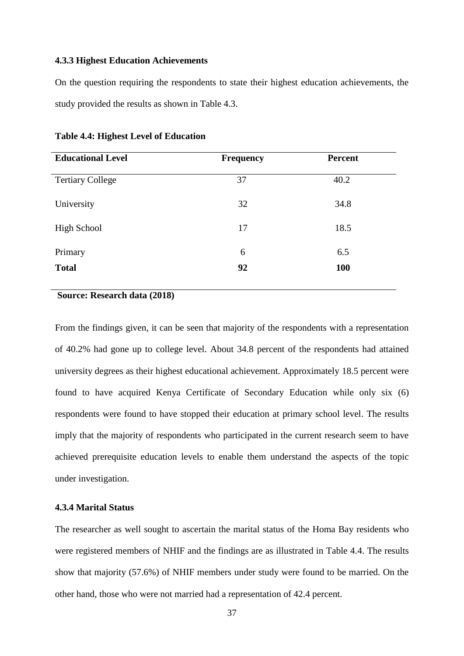#### <span id="page-36-0"></span>**4.3.3 Highest Education Achievements**

On the question requiring the respondents to state their highest education achievements, the study provided the results as shown in Table 4.3.

| <b>Frequency</b> | <b>Percent</b> |
|------------------|----------------|
| 37               | 40.2           |
| 32               | 34.8           |
| 17               | 18.5           |
| 6                | 6.5            |
| 92               | <b>100</b>     |
|                  |                |

#### <span id="page-36-2"></span>**Table 4.4: Highest Level of Education**

## **Source: Research data (2018)**

From the findings given, it can be seen that majority of the respondents with a representation of 40.2% had gone up to college level. About 34.8 percent of the respondents had attained university degrees as their highest educational achievement. Approximately 18.5 percent were found to have acquired Kenya Certificate of Secondary Education while only six (6) respondents were found to have stopped their education at primary school level. The results imply that the majority of respondents who participated in the current research seem to have achieved prerequisite education levels to enable them understand the aspects of the topic under investigation.

## <span id="page-36-1"></span>**4.3.4 Marital Status**

The researcher as well sought to ascertain the marital status of the Homa Bay residents who were registered members of NHIF and the findings are as illustrated in Table 4.4. The results show that majority (57.6%) of NHIF members under study were found to be married. On the other hand, those who were not married had a representation of 42.4 percent.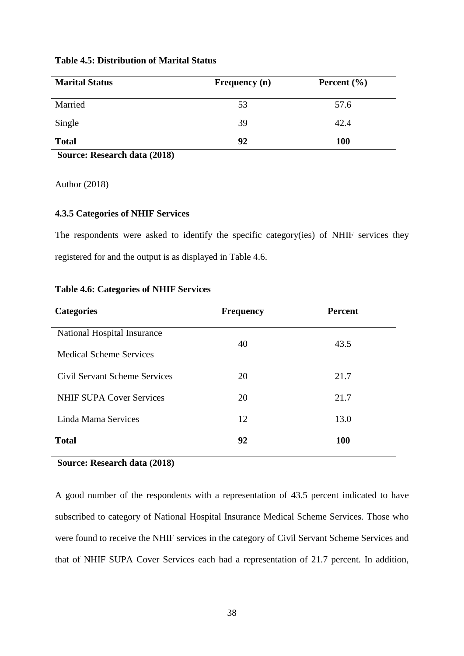| <b>Marital Status</b> | <b>Frequency</b> (n) | Percent $(\% )$ |  |
|-----------------------|----------------------|-----------------|--|
| Married               | 53                   | 57.6            |  |
| Single                | 39                   | 42.4            |  |
| <b>Total</b>          | 92                   | <b>100</b>      |  |

## <span id="page-37-1"></span>**Table 4.5: Distribution of Marital Status**

**Source: Research data (2018)**

Author (2018)

## <span id="page-37-0"></span>**4.3.5 Categories of NHIF Services**

The respondents were asked to identify the specific category(ies) of NHIF services they registered for and the output is as displayed in Table 4.6.

| <b>Categories</b>               | <b>Frequency</b> | <b>Percent</b> |
|---------------------------------|------------------|----------------|
| National Hospital Insurance     |                  |                |
| <b>Medical Scheme Services</b>  | 40               | 43.5           |
| Civil Servant Scheme Services   | 20               | 21.7           |
| <b>NHIF SUPA Cover Services</b> | 20               | 21.7           |
| Linda Mama Services             | 12               | 13.0           |
| <b>Total</b>                    | 92               | <b>100</b>     |

## <span id="page-37-2"></span>**Table 4.6: Categories of NHIF Services**

## **Source: Research data (2018)**

A good number of the respondents with a representation of 43.5 percent indicated to have subscribed to category of National Hospital Insurance Medical Scheme Services. Those who were found to receive the NHIF services in the category of Civil Servant Scheme Services and that of NHIF SUPA Cover Services each had a representation of 21.7 percent. In addition,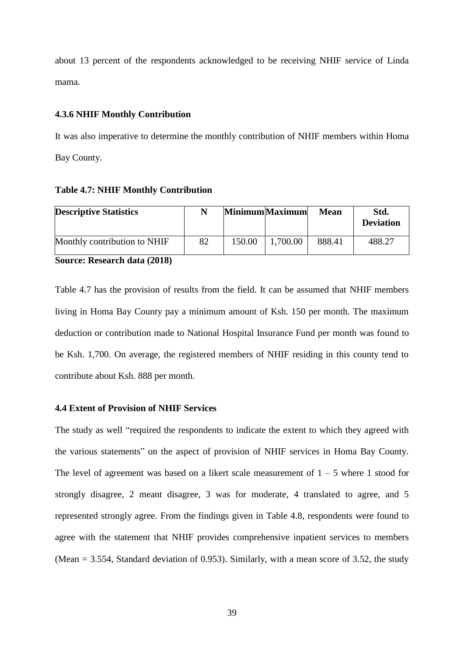about 13 percent of the respondents acknowledged to be receiving NHIF service of Linda mama.

### <span id="page-38-0"></span>**4.3.6 NHIF Monthly Contribution**

It was also imperative to determine the monthly contribution of NHIF members within Homa Bay County.

#### <span id="page-38-2"></span>**Table 4.7: NHIF Monthly Contribution**

| <b>Descriptive Statistics</b> | N  |        | Minimum Maximum | Mean   | Std.<br><b>Deviation</b> |
|-------------------------------|----|--------|-----------------|--------|--------------------------|
| Monthly contribution to NHIF  | 82 | 150.00 | 1,700.00        | 888.41 | 488.27                   |
| Source: Research data (2018)  |    |        |                 |        |                          |

Table 4.7 has the provision of results from the field. It can be assumed that NHIF members living in Homa Bay County pay a minimum amount of Ksh. 150 per month. The maximum deduction or contribution made to National Hospital Insurance Fund per month was found to be Ksh. 1,700. On average, the registered members of NHIF residing in this county tend to contribute about Ksh. 888 per month.

## <span id="page-38-1"></span>**4.4 Extent of Provision of NHIF Services**

The study as well "required the respondents to indicate the extent to which they agreed with the various statements" on the aspect of provision of NHIF services in Homa Bay County. The level of agreement was based on a likert scale measurement of  $1 - 5$  where 1 stood for strongly disagree, 2 meant disagree, 3 was for moderate, 4 translated to agree, and 5 represented strongly agree. From the findings given in Table 4.8, respondents were found to agree with the statement that NHIF provides comprehensive inpatient services to members (Mean = 3.554, Standard deviation of 0.953). Similarly, with a mean score of 3.52, the study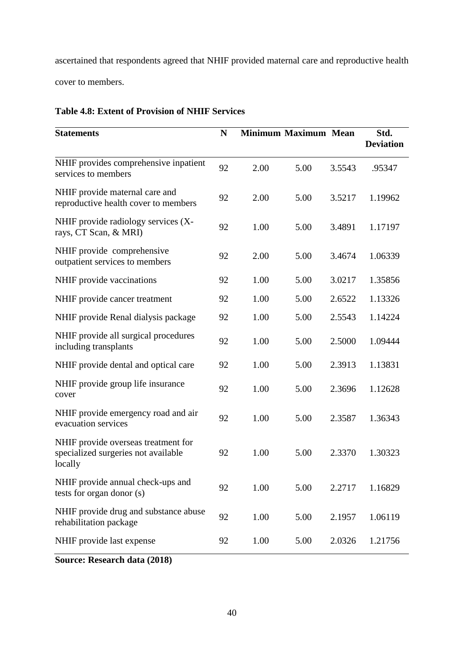ascertained that respondents agreed that NHIF provided maternal care and reproductive health cover to members.

| <b>Statements</b>                                                                     | N  |      | <b>Minimum Maximum Mean</b> |        | Std.<br><b>Deviation</b> |
|---------------------------------------------------------------------------------------|----|------|-----------------------------|--------|--------------------------|
| NHIF provides comprehensive inpatient<br>services to members                          | 92 | 2.00 | 5.00                        | 3.5543 | .95347                   |
| NHIF provide maternal care and<br>reproductive health cover to members                | 92 | 2.00 | 5.00                        | 3.5217 | 1.19962                  |
| NHIF provide radiology services (X-<br>rays, CT Scan, & MRI)                          | 92 | 1.00 | 5.00                        | 3.4891 | 1.17197                  |
| NHIF provide comprehensive<br>outpatient services to members                          | 92 | 2.00 | 5.00                        | 3.4674 | 1.06339                  |
| NHIF provide vaccinations                                                             | 92 | 1.00 | 5.00                        | 3.0217 | 1.35856                  |
| NHIF provide cancer treatment                                                         | 92 | 1.00 | 5.00                        | 2.6522 | 1.13326                  |
| NHIF provide Renal dialysis package                                                   | 92 | 1.00 | 5.00                        | 2.5543 | 1.14224                  |
| NHIF provide all surgical procedures<br>including transplants                         | 92 | 1.00 | 5.00                        | 2.5000 | 1.09444                  |
| NHIF provide dental and optical care                                                  | 92 | 1.00 | 5.00                        | 2.3913 | 1.13831                  |
| NHIF provide group life insurance<br>cover                                            | 92 | 1.00 | 5.00                        | 2.3696 | 1.12628                  |
| NHIF provide emergency road and air<br>evacuation services                            | 92 | 1.00 | 5.00                        | 2.3587 | 1.36343                  |
| NHIF provide overseas treatment for<br>specialized surgeries not available<br>locally | 92 | 1.00 | 5.00                        | 2.3370 | 1.30323                  |
| NHIF provide annual check-ups and<br>tests for organ donor (s)                        | 92 | 1.00 | 5.00                        | 2.2717 | 1.16829                  |
| NHIF provide drug and substance abuse<br>rehabilitation package                       | 92 | 1.00 | 5.00                        | 2.1957 | 1.06119                  |
| NHIF provide last expense                                                             | 92 | 1.00 | 5.00                        | 2.0326 | 1.21756                  |

# <span id="page-39-0"></span>**Table 4.8: Extent of Provision of NHIF Services**

**Source: Research data (2018)**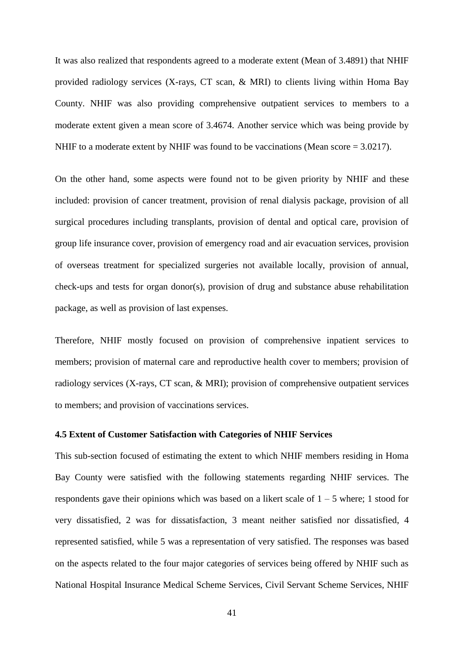It was also realized that respondents agreed to a moderate extent (Mean of 3.4891) that NHIF provided radiology services (X-rays, CT scan, & MRI) to clients living within Homa Bay County. NHIF was also providing comprehensive outpatient services to members to a moderate extent given a mean score of 3.4674. Another service which was being provide by NHIF to a moderate extent by NHIF was found to be vaccinations (Mean score = 3.0217).

On the other hand, some aspects were found not to be given priority by NHIF and these included: provision of cancer treatment, provision of renal dialysis package, provision of all surgical procedures including transplants, provision of dental and optical care, provision of group life insurance cover, provision of emergency road and air evacuation services, provision of overseas treatment for specialized surgeries not available locally, provision of annual, check-ups and tests for organ donor(s), provision of drug and substance abuse rehabilitation package, as well as provision of last expenses.

Therefore, NHIF mostly focused on provision of comprehensive inpatient services to members; provision of maternal care and reproductive health cover to members; provision of radiology services (X-rays, CT scan, & MRI); provision of comprehensive outpatient services to members; and provision of vaccinations services.

#### <span id="page-40-0"></span>**4.5 Extent of Customer Satisfaction with Categories of NHIF Services**

This sub-section focused of estimating the extent to which NHIF members residing in Homa Bay County were satisfied with the following statements regarding NHIF services. The respondents gave their opinions which was based on a likert scale of  $1 - 5$  where; 1 stood for very dissatisfied, 2 was for dissatisfaction, 3 meant neither satisfied nor dissatisfied, 4 represented satisfied, while 5 was a representation of very satisfied. The responses was based on the aspects related to the four major categories of services being offered by NHIF such as National Hospital Insurance Medical Scheme Services, Civil Servant Scheme Services, NHIF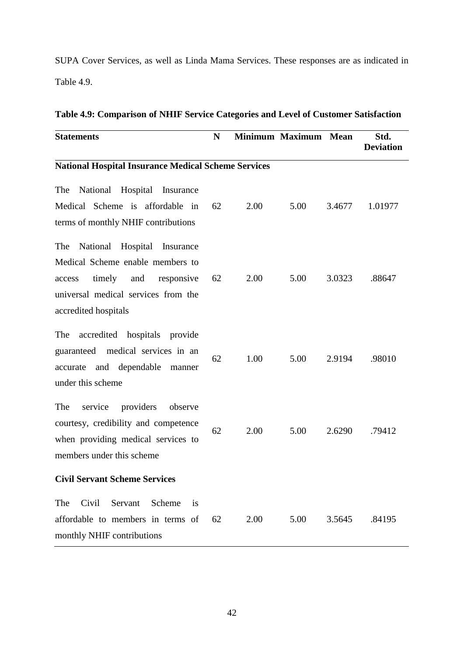SUPA Cover Services, as well as Linda Mama Services. These responses are as indicated in Table 4.9.

| <b>Statements</b>                                                                                                                                                              | N  |      | <b>Minimum Maximum</b> | Mean   | Std.<br><b>Deviation</b> |  |  |  |  |
|--------------------------------------------------------------------------------------------------------------------------------------------------------------------------------|----|------|------------------------|--------|--------------------------|--|--|--|--|
| <b>National Hospital Insurance Medical Scheme Services</b>                                                                                                                     |    |      |                        |        |                          |  |  |  |  |
| National Hospital Insurance<br>The<br>Medical Scheme is affordable in<br>terms of monthly NHIF contributions                                                                   | 62 | 2.00 | 5.00                   | 3.4677 | 1.01977                  |  |  |  |  |
| National Hospital<br>The<br>Insurance<br>Medical Scheme enable members to<br>timely and<br>responsive<br>access<br>universal medical services from the<br>accredited hospitals | 62 | 2.00 | 5.00                   | 3.0323 | .88647                   |  |  |  |  |
| accredited hospitals provide<br>The<br>guaranteed medical services in an<br>and dependable<br>accurate<br>manner<br>under this scheme                                          | 62 | 1.00 | 5.00                   | 2.9194 | .98010                   |  |  |  |  |
| The<br>service<br>providers<br>observe<br>courtesy, credibility and competence<br>when providing medical services to<br>members under this scheme                              | 62 | 2.00 | 5.00                   | 2.6290 | .79412                   |  |  |  |  |
| <b>Civil Servant Scheme Services</b>                                                                                                                                           |    |      |                        |        |                          |  |  |  |  |
| Civil<br>The<br>Servant<br>Scheme<br><i>is</i><br>affordable to members in terms of<br>monthly NHIF contributions                                                              | 62 | 2.00 | 5.00                   | 3.5645 | .84195                   |  |  |  |  |

## <span id="page-41-0"></span>**Table 4.9: Comparison of NHIF Service Categories and Level of Customer Satisfaction**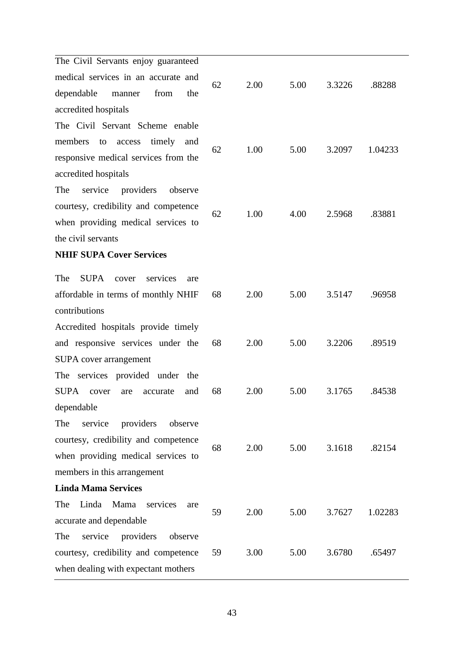| The Civil Servants enjoy guaranteed            |    |      |      |        |         |
|------------------------------------------------|----|------|------|--------|---------|
| medical services in an accurate and            | 62 | 2.00 | 5.00 | 3.3226 | .88288  |
| dependable<br>from<br>the<br>manner            |    |      |      |        |         |
| accredited hospitals                           |    |      |      |        |         |
| The Civil Servant Scheme enable                |    |      |      |        |         |
| members<br>timely<br>access<br>and<br>to       | 62 | 1.00 | 5.00 | 3.2097 | 1.04233 |
| responsive medical services from the           |    |      |      |        |         |
| accredited hospitals                           |    |      |      |        |         |
| providers<br>The<br>service<br>observe         |    |      |      |        |         |
| courtesy, credibility and competence           | 62 |      | 4.00 |        | .83881  |
| when providing medical services to             |    | 1.00 |      | 2.5968 |         |
| the civil servants                             |    |      |      |        |         |
| <b>NHIF SUPA Cover Services</b>                |    |      |      |        |         |
| The<br><b>SUPA</b><br>services<br>cover<br>are |    |      |      |        |         |
| affordable in terms of monthly NHIF            | 68 | 2.00 | 5.00 | 3.5147 | .96958  |
| contributions                                  |    |      |      |        |         |
| Accredited hospitals provide timely            |    |      |      |        |         |
| and responsive services under the              | 68 | 2.00 | 5.00 | 3.2206 | .89519  |
| SUPA cover arrangement                         |    |      |      |        |         |
| The services provided under the                |    |      |      |        |         |
| <b>SUPA</b><br>and<br>accurate<br>cover<br>are | 68 | 2.00 | 5.00 | 3.1765 | .84538  |
| dependable                                     |    |      |      |        |         |
| The<br>service<br>providers<br>observe         |    |      |      |        |         |
| courtesy, credibility and competence           |    |      |      |        |         |
| when providing medical services to             | 68 | 2.00 | 5.00 | 3.1618 | .82154  |
| members in this arrangement                    |    |      |      |        |         |
| <b>Linda Mama Services</b>                     |    |      |      |        |         |
| Linda Mama<br>services<br>The<br>are           |    |      |      |        |         |
| accurate and dependable                        | 59 | 2.00 | 5.00 | 3.7627 | 1.02283 |
| service<br>providers<br>The<br>observe         |    |      |      |        |         |
| courtesy, credibility and competence           | 59 | 3.00 | 5.00 | 3.6780 | .65497  |
| when dealing with expectant mothers            |    |      |      |        |         |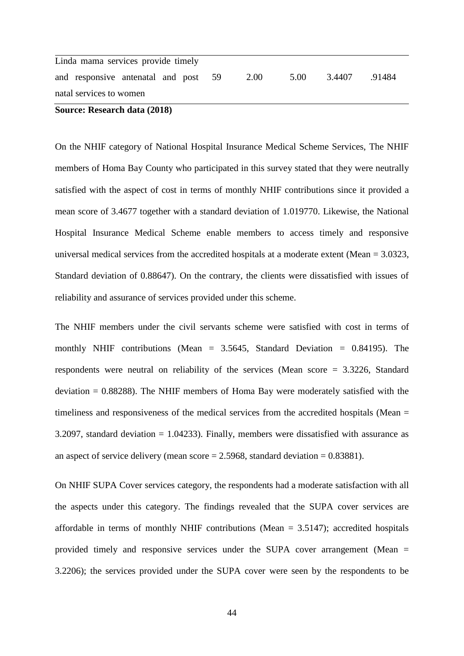| natal services to women              |  |  |  |      |      |        |        |
|--------------------------------------|--|--|--|------|------|--------|--------|
| and responsive antenatal and post 59 |  |  |  | 2.00 | 5.00 | 3.4407 | .91484 |
| Linda mama services provide timely   |  |  |  |      |      |        |        |

**Source: Research data (2018)**

On the NHIF category of National Hospital Insurance Medical Scheme Services, The NHIF members of Homa Bay County who participated in this survey stated that they were neutrally satisfied with the aspect of cost in terms of monthly NHIF contributions since it provided a mean score of 3.4677 together with a standard deviation of 1.019770. Likewise, the National Hospital Insurance Medical Scheme enable members to access timely and responsive universal medical services from the accredited hospitals at a moderate extent (Mean = 3.0323, Standard deviation of 0.88647). On the contrary, the clients were dissatisfied with issues of reliability and assurance of services provided under this scheme.

The NHIF members under the civil servants scheme were satisfied with cost in terms of monthly NHIF contributions (Mean  $= 3.5645$ , Standard Deviation  $= 0.84195$ ). The respondents were neutral on reliability of the services (Mean score = 3.3226, Standard deviation  $= 0.88288$ ). The NHIF members of Homa Bay were moderately satisfied with the timeliness and responsiveness of the medical services from the accredited hospitals (Mean = 3.2097, standard deviation = 1.04233). Finally, members were dissatisfied with assurance as an aspect of service delivery (mean score  $= 2.5968$ , standard deviation  $= 0.83881$ ).

On NHIF SUPA Cover services category, the respondents had a moderate satisfaction with all the aspects under this category. The findings revealed that the SUPA cover services are affordable in terms of monthly NHIF contributions (Mean  $= 3.5147$ ); accredited hospitals provided timely and responsive services under the SUPA cover arrangement (Mean = 3.2206); the services provided under the SUPA cover were seen by the respondents to be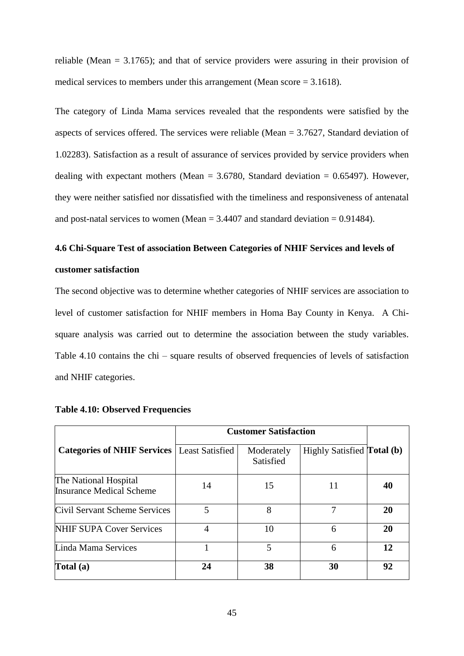reliable (Mean = 3.1765); and that of service providers were assuring in their provision of medical services to members under this arrangement (Mean score = 3.1618).

The category of Linda Mama services revealed that the respondents were satisfied by the aspects of services offered. The services were reliable (Mean = 3.7627, Standard deviation of 1.02283). Satisfaction as a result of assurance of services provided by service providers when dealing with expectant mothers (Mean  $= 3.6780$ , Standard deviation  $= 0.65497$ ). However, they were neither satisfied nor dissatisfied with the timeliness and responsiveness of antenatal and post-natal services to women (Mean  $= 3.4407$  and standard deviation  $= 0.91484$ ).

# <span id="page-44-0"></span>**4.6 Chi-Square Test of association Between Categories of NHIF Services and levels of customer satisfaction**

The second objective was to determine whether categories of NHIF services are association to level of customer satisfaction for NHIF members in Homa Bay County in Kenya. A Chisquare analysis was carried out to determine the association between the study variables. Table 4.10 contains the chi – square results of observed frequencies of levels of satisfaction and NHIF categories.

|                                                          | <b>Customer Satisfaction</b> |                         |                                   |    |
|----------------------------------------------------------|------------------------------|-------------------------|-----------------------------------|----|
| <b>Categories of NHIF Services</b>                       | <b>Least Satisfied</b>       | Moderately<br>Satisfied | Highly Satisfied <b>Total</b> (b) |    |
| The National Hospital<br><b>Insurance Medical Scheme</b> | 14                           | 15                      | 11                                | 40 |
| Civil Servant Scheme Services                            | 5                            | 8                       | 7                                 | 20 |
| <b>NHIF SUPA Cover Services</b>                          | 4                            | 10                      | 6                                 | 20 |
| Linda Mama Services                                      |                              | 5                       | 6                                 | 12 |
| Total (a)                                                | 24                           | 38                      | 30                                | 92 |

## <span id="page-44-1"></span>**Table 4.10: Observed Frequencies**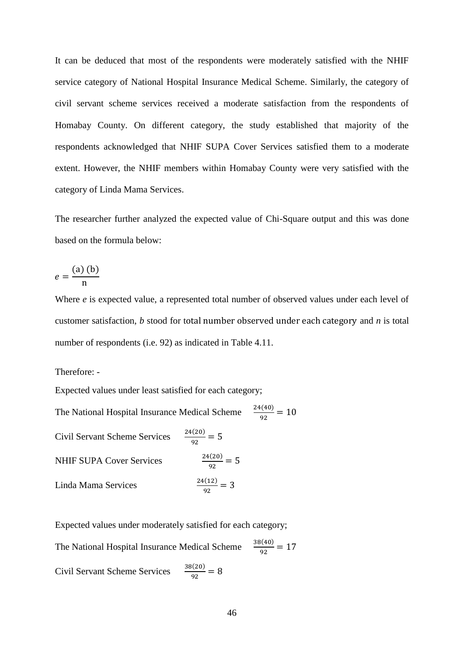It can be deduced that most of the respondents were moderately satisfied with the NHIF service category of National Hospital Insurance Medical Scheme. Similarly, the category of civil servant scheme services received a moderate satisfaction from the respondents of Homabay County. On different category, the study established that majority of the respondents acknowledged that NHIF SUPA Cover Services satisfied them to a moderate extent. However, the NHIF members within Homabay County were very satisfied with the category of Linda Mama Services.

The researcher further analyzed the expected value of Chi-Square output and this was done based on the formula below:

$$
e = \frac{(a) (b)}{n}
$$

Where *e* is expected value, a represented total number of observed values under each level of customer satisfaction, *b* stood for total number observed under each category and *n* is total number of respondents (i.e. 92) as indicated in Table 4.11.

Therefore: -

Expected values under least satisfied for each category;

The National Hospital Insurance Medical Scheme  $\frac{24(40)}{92} = 10$ Civil Servant Scheme Services  $\frac{24(20)}{92} = 5$ NHIF SUPA Cover Services  $\frac{f(20)}{92} = 5$ Linda Mama Services  $\frac{f(12)}{92} = 3$ 

Expected values under moderately satisfied for each category;

The National Hospital Insurance Medical Scheme  $\frac{38(40)}{92} = 17$ Civil Servant Scheme Services  $\frac{38(20)}{92} = 8$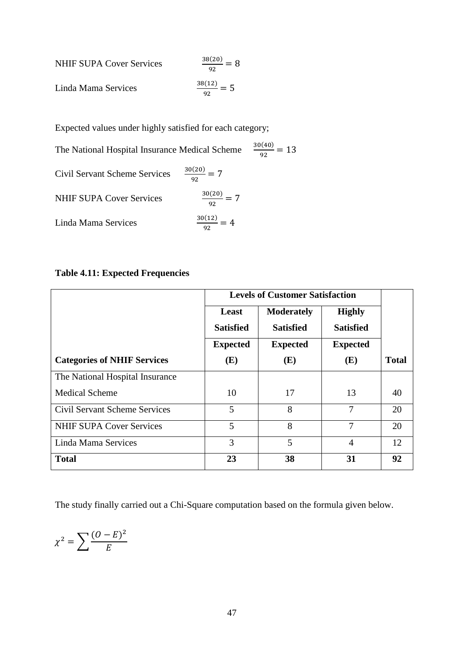NHIF SUPA Cover Services 
$$
\frac{38(20)}{92} = 8
$$
  
Linda Mama Services 
$$
\frac{38(12)}{92} = 5
$$

Expected values under highly satisfied for each category;

The National Hospital Insurance Medical Scheme  $\frac{30(40)}{92} = 13$ Civil Servant Scheme Services  $\frac{30(20)}{92} = 7$ NHIF SUPA Cover Services  $\frac{1}{92}$  = 7 Linda Mama Services  $\frac{12}{92}$  = 4

## <span id="page-46-0"></span>**Table 4.11: Expected Frequencies**

|                                      |                  | <b>Levels of Customer Satisfaction</b> |                  |              |
|--------------------------------------|------------------|----------------------------------------|------------------|--------------|
|                                      | Least            | <b>Moderately</b>                      | <b>Highly</b>    |              |
|                                      | <b>Satisfied</b> | <b>Satisfied</b>                       | <b>Satisfied</b> |              |
|                                      | <b>Expected</b>  | <b>Expected</b>                        | <b>Expected</b>  |              |
| <b>Categories of NHIF Services</b>   | (E)              | (E)                                    | (E)              | <b>Total</b> |
| The National Hospital Insurance      |                  |                                        |                  |              |
| <b>Medical Scheme</b>                | 10               | 17                                     | 13               | 40           |
| <b>Civil Servant Scheme Services</b> | 5                | 8                                      | 7                | 20           |
| <b>NHIF SUPA Cover Services</b>      | 5                | 8                                      | 7                | 20           |
| Linda Mama Services                  | 3                | 5                                      | 4                | 12           |
| <b>Total</b>                         | 23               | 38                                     | 31               | 92           |

The study finally carried out a Chi-Square computation based on the formula given below.

$$
\chi^2 = \sum \frac{(O - E)^2}{E}
$$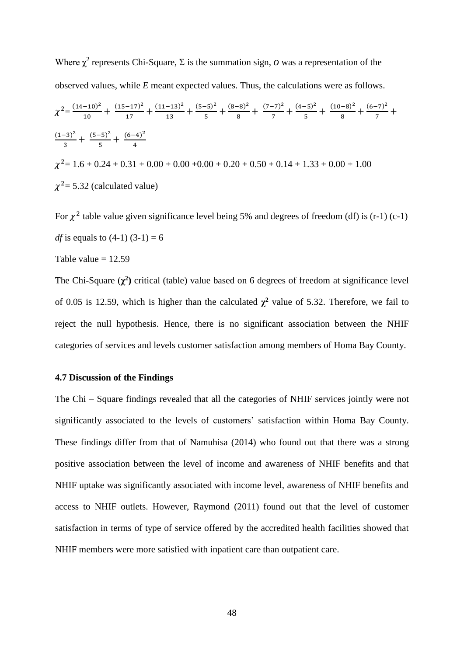Where  $\chi^2$  represents Chi-Square,  $\Sigma$  is the summation sign, *o* was a representation of the observed values, while *E* meant expected values. Thus, the calculations were as follows.  $\chi^2 = \frac{(14-10)^2}{10}$  $\frac{-10)^2}{10} + \frac{(15-17)^2}{17}$  $\frac{(-17)^2}{17} + \frac{(11-13)^2}{13}$  $\frac{(-13)^2}{13} + \frac{(5-5)^2}{5}$  $\frac{(-5)^2}{5} + \frac{(8-8)^2}{8}$  $\frac{(-8)^2}{8} + \frac{(7-7)^2}{7}$  $\frac{(-7)^2}{7} + \frac{(4-5)^2}{5}$  $\frac{(-5)^2}{5} + \frac{(10-8)^2}{8}$  $\frac{(-8)^2}{8} + \frac{(6-7)^2}{7}$  $\frac{7}{7}$  +  $(1-3)^2$  $\frac{(-3)^2}{3} + \frac{(5-5)^2}{5}$  $\frac{(-5)^2}{5} + \frac{(6-4)^2}{4}$ 4  $\chi^2$  = 1.6 + 0.24 + 0.31 + 0.00 + 0.00 + 0.00 + 0.20 + 0.50 + 0.14 + 1.33 + 0.00 + 1.00  $\chi^2$  = 5.32 (calculated value)

For  $\chi^2$  table value given significance level being 5% and degrees of freedom (df) is (r-1) (c-1) *df* is equals to  $(4-1)(3-1) = 6$ Table value  $= 12.59$ 

The Chi-Square  $(\chi^2)$  critical (table) value based on 6 degrees of freedom at significance level of 0.05 is 12.59, which is higher than the calculated  $\chi^2$  value of 5.32. Therefore, we fail to reject the null hypothesis. Hence, there is no significant association between the NHIF categories of services and levels customer satisfaction among members of Homa Bay County.

#### <span id="page-47-0"></span>**4.7 Discussion of the Findings**

The Chi – Square findings revealed that all the categories of NHIF services jointly were not significantly associated to the levels of customers' satisfaction within Homa Bay County. These findings differ from that of Namuhisa (2014) who found out that there was a strong positive association between the level of income and awareness of NHIF benefits and that NHIF uptake was significantly associated with income level, awareness of NHIF benefits and access to NHIF outlets. However, Raymond (2011) found out that the level of customer satisfaction in terms of type of service offered by the accredited health facilities showed that NHIF members were more satisfied with inpatient care than outpatient care.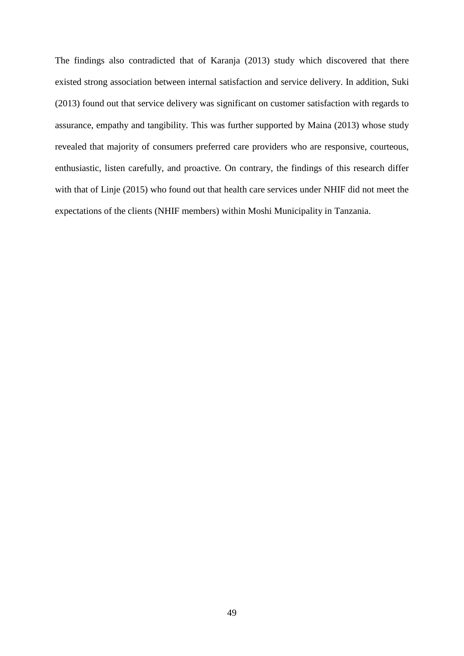The findings also contradicted that of Karanja (2013) study which discovered that there existed strong association between internal satisfaction and service delivery. In addition, Suki (2013) found out that service delivery was significant on customer satisfaction with regards to assurance, empathy and tangibility. This was further supported by Maina (2013) whose study revealed that majority of consumers preferred care providers who are responsive, courteous, enthusiastic, listen carefully, and proactive. On contrary, the findings of this research differ with that of Linje (2015) who found out that health care services under NHIF did not meet the expectations of the clients (NHIF members) within Moshi Municipality in Tanzania.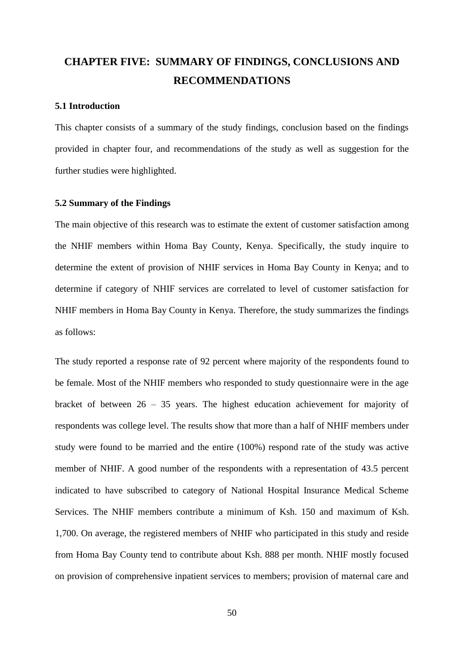# <span id="page-49-0"></span>**CHAPTER FIVE: SUMMARY OF FINDINGS, CONCLUSIONS AND RECOMMENDATIONS**

#### <span id="page-49-1"></span>**5.1 Introduction**

This chapter consists of a summary of the study findings, conclusion based on the findings provided in chapter four, and recommendations of the study as well as suggestion for the further studies were highlighted.

## <span id="page-49-2"></span>**5.2 Summary of the Findings**

The main objective of this research was to estimate the extent of customer satisfaction among the NHIF members within Homa Bay County, Kenya. Specifically, the study inquire to determine the extent of provision of NHIF services in Homa Bay County in Kenya; and to determine if category of NHIF services are correlated to level of customer satisfaction for NHIF members in Homa Bay County in Kenya. Therefore, the study summarizes the findings as follows:

The study reported a response rate of 92 percent where majority of the respondents found to be female. Most of the NHIF members who responded to study questionnaire were in the age bracket of between 26 – 35 years. The highest education achievement for majority of respondents was college level. The results show that more than a half of NHIF members under study were found to be married and the entire (100%) respond rate of the study was active member of NHIF. A good number of the respondents with a representation of 43.5 percent indicated to have subscribed to category of National Hospital Insurance Medical Scheme Services. The NHIF members contribute a minimum of Ksh. 150 and maximum of Ksh. 1,700. On average, the registered members of NHIF who participated in this study and reside from Homa Bay County tend to contribute about Ksh. 888 per month. NHIF mostly focused on provision of comprehensive inpatient services to members; provision of maternal care and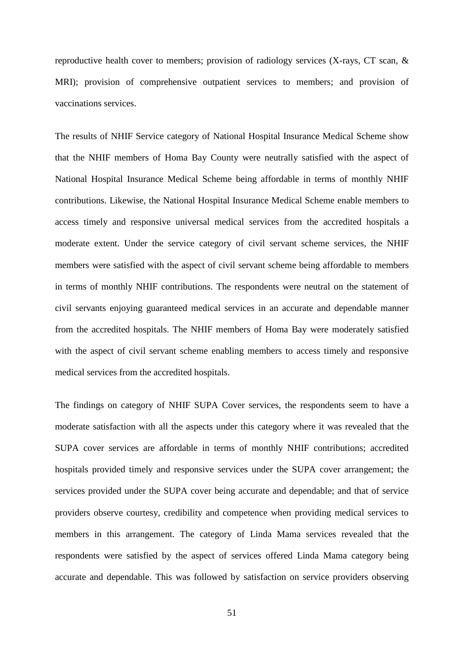reproductive health cover to members; provision of radiology services (X-rays, CT scan, & MRI); provision of comprehensive outpatient services to members; and provision of vaccinations services.

The results of NHIF Service category of National Hospital Insurance Medical Scheme show that the NHIF members of Homa Bay County were neutrally satisfied with the aspect of National Hospital Insurance Medical Scheme being affordable in terms of monthly NHIF contributions. Likewise, the National Hospital Insurance Medical Scheme enable members to access timely and responsive universal medical services from the accredited hospitals a moderate extent. Under the service category of civil servant scheme services, the NHIF members were satisfied with the aspect of civil servant scheme being affordable to members in terms of monthly NHIF contributions. The respondents were neutral on the statement of civil servants enjoying guaranteed medical services in an accurate and dependable manner from the accredited hospitals. The NHIF members of Homa Bay were moderately satisfied with the aspect of civil servant scheme enabling members to access timely and responsive medical services from the accredited hospitals.

The findings on category of NHIF SUPA Cover services, the respondents seem to have a moderate satisfaction with all the aspects under this category where it was revealed that the SUPA cover services are affordable in terms of monthly NHIF contributions; accredited hospitals provided timely and responsive services under the SUPA cover arrangement; the services provided under the SUPA cover being accurate and dependable; and that of service providers observe courtesy, credibility and competence when providing medical services to members in this arrangement. The category of Linda Mama services revealed that the respondents were satisfied by the aspect of services offered Linda Mama category being accurate and dependable. This was followed by satisfaction on service providers observing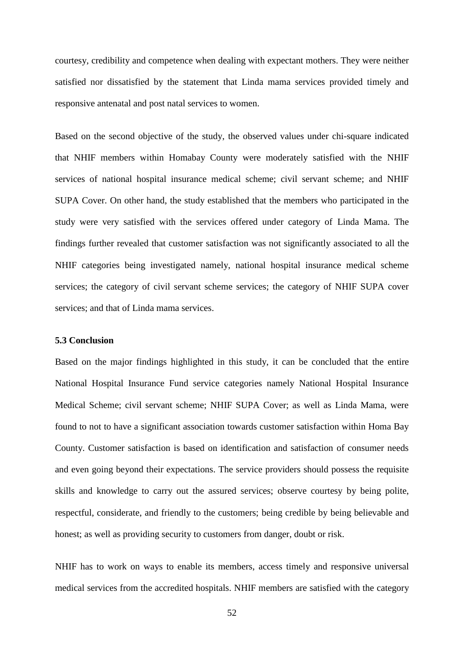courtesy, credibility and competence when dealing with expectant mothers. They were neither satisfied nor dissatisfied by the statement that Linda mama services provided timely and responsive antenatal and post natal services to women.

Based on the second objective of the study, the observed values under chi-square indicated that NHIF members within Homabay County were moderately satisfied with the NHIF services of national hospital insurance medical scheme; civil servant scheme; and NHIF SUPA Cover. On other hand, the study established that the members who participated in the study were very satisfied with the services offered under category of Linda Mama. The findings further revealed that customer satisfaction was not significantly associated to all the NHIF categories being investigated namely, national hospital insurance medical scheme services; the category of civil servant scheme services; the category of NHIF SUPA cover services; and that of Linda mama services.

### <span id="page-51-0"></span>**5.3 Conclusion**

Based on the major findings highlighted in this study, it can be concluded that the entire National Hospital Insurance Fund service categories namely National Hospital Insurance Medical Scheme; civil servant scheme; NHIF SUPA Cover; as well as Linda Mama, were found to not to have a significant association towards customer satisfaction within Homa Bay County. Customer satisfaction is based on identification and satisfaction of consumer needs and even going beyond their expectations. The service providers should possess the requisite skills and knowledge to carry out the assured services; observe courtesy by being polite, respectful, considerate, and friendly to the customers; being credible by being believable and honest; as well as providing security to customers from danger, doubt or risk.

NHIF has to work on ways to enable its members, access timely and responsive universal medical services from the accredited hospitals. NHIF members are satisfied with the category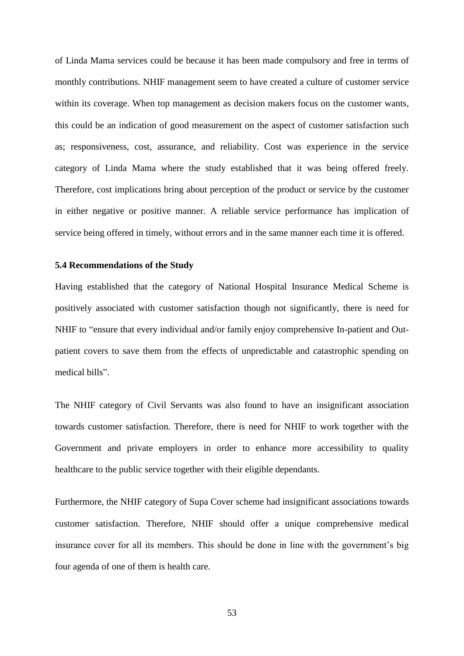of Linda Mama services could be because it has been made compulsory and free in terms of monthly contributions. NHIF management seem to have created a culture of customer service within its coverage. When top management as decision makers focus on the customer wants, this could be an indication of good measurement on the aspect of customer satisfaction such as; responsiveness, cost, assurance, and reliability. Cost was experience in the service category of Linda Mama where the study established that it was being offered freely. Therefore, cost implications bring about perception of the product or service by the customer in either negative or positive manner. A reliable service performance has implication of service being offered in timely, without errors and in the same manner each time it is offered.

#### <span id="page-52-0"></span>**5.4 Recommendations of the Study**

Having established that the category of National Hospital Insurance Medical Scheme is positively associated with customer satisfaction though not significantly, there is need for NHIF to "ensure that every individual and/or family enjoy comprehensive In-patient and Outpatient covers to save them from the effects of unpredictable and catastrophic spending on medical bills".

The NHIF category of Civil Servants was also found to have an insignificant association towards customer satisfaction. Therefore, there is need for NHIF to work together with the Government and private employers in order to enhance more accessibility to quality healthcare to the public service together with their eligible dependants.

Furthermore, the NHIF category of Supa Cover scheme had insignificant associations towards customer satisfaction. Therefore, NHIF should offer a unique comprehensive medical insurance cover for all its members. This should be done in line with the government's big four agenda of one of them is health care.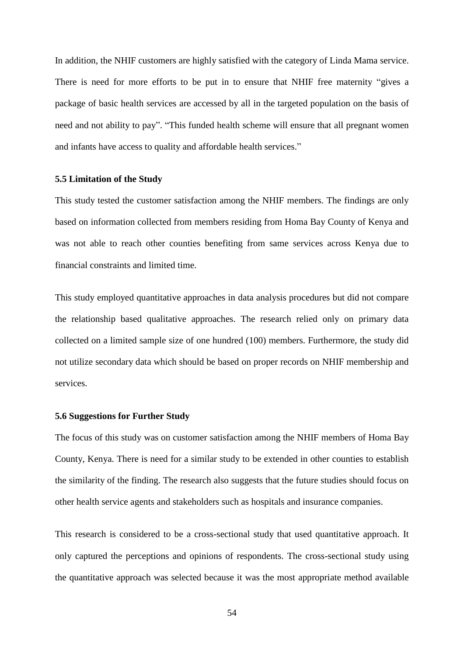In addition, the NHIF customers are highly satisfied with the category of Linda Mama service. There is need for more efforts to be put in to ensure that NHIF free maternity "gives a package of basic health services are accessed by all in the targeted population on the basis of need and not ability to pay". "This funded health scheme will ensure that all pregnant women and infants have access to quality and affordable health services."

#### <span id="page-53-0"></span>**5.5 Limitation of the Study**

This study tested the customer satisfaction among the NHIF members. The findings are only based on information collected from members residing from Homa Bay County of Kenya and was not able to reach other counties benefiting from same services across Kenya due to financial constraints and limited time.

This study employed quantitative approaches in data analysis procedures but did not compare the relationship based qualitative approaches. The research relied only on primary data collected on a limited sample size of one hundred (100) members. Furthermore, the study did not utilize secondary data which should be based on proper records on NHIF membership and services.

#### <span id="page-53-1"></span>**5.6 Suggestions for Further Study**

The focus of this study was on customer satisfaction among the NHIF members of Homa Bay County, Kenya. There is need for a similar study to be extended in other counties to establish the similarity of the finding. The research also suggests that the future studies should focus on other health service agents and stakeholders such as hospitals and insurance companies.

This research is considered to be a cross-sectional study that used quantitative approach. It only captured the perceptions and opinions of respondents. The cross-sectional study using the quantitative approach was selected because it was the most appropriate method available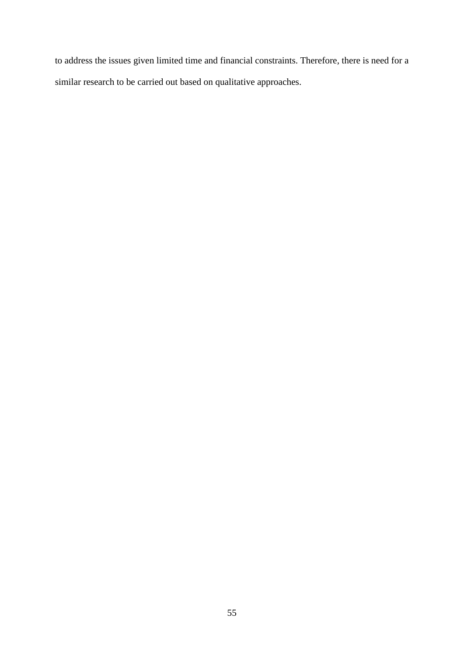to address the issues given limited time and financial constraints. Therefore, there is need for a similar research to be carried out based on qualitative approaches.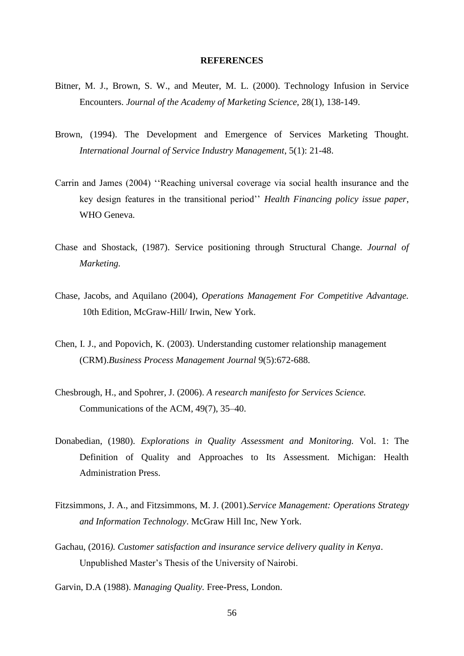#### **REFERENCES**

- <span id="page-55-0"></span>Bitner, M. J., Brown, S. W., and Meuter, M. L. (2000). Technology Infusion in Service Encounters. *Journal of the Academy of Marketing Science,* 28(1), 138-149.
- Brown, (1994). The Development and Emergence of Services Marketing Thought. *International Journal of Service Industry Management*, 5(1): 21-48.
- Carrin and James (2004) ''Reaching universal coverage via social health insurance and the key design features in the transitional period'' *Health Financing policy issue paper*, WHO Geneva.
- Chase and Shostack, (1987). Service positioning through Structural Change. *Journal of Marketing.*
- Chase, Jacobs, and Aquilano (2004), *Operations Management For Competitive Advantage.* 10th Edition, McGraw-Hill/ Irwin, New York.
- Chen, I. J., and Popovich, K. (2003). Understanding customer relationship management (CRM).*Business Process Management Journal* 9(5):672-688.
- Chesbrough, H., and Spohrer, J. (2006). *A research manifesto for Services Science.* Communications of the ACM, 49(7), 35–40.
- Donabedian, (1980). *Explorations in Quality Assessment and Monitoring.* Vol. 1: The Definition of Quality and Approaches to Its Assessment. Michigan: Health Administration Press.
- Fitzsimmons, J. A., and Fitzsimmons, M. J. (2001).*Service Management: Operations Strategy and Information Technology*. McGraw Hill Inc, New York.
- Gachau, (2016*). Customer satisfaction and insurance service delivery quality in Kenya*. Unpublished Master's Thesis of the University of Nairobi.
- Garvin, D.A (1988). *Managing Quality.* Free-Press, London.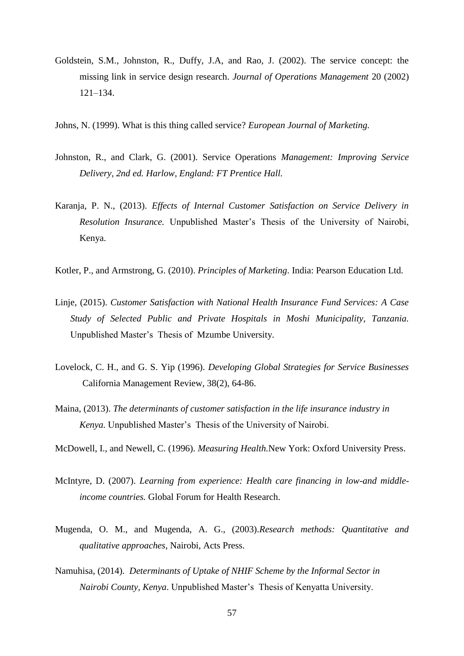- Goldstein, S.M., Johnston, R., Duffy, J.A, and Rao, J. (2002). The service concept: the missing link in service design research. *Journal of Operations Management* 20 (2002) 121–134.
- Johns, N. (1999). What is this thing called service? *European Journal of Marketing.*
- Johnston, R., and Clark, G. (2001). Service Operations *Management: Improving Service Delivery, 2nd ed. Harlow, England: FT Prentice Hall.*
- Karanja, P. N., (2013). *Effects of Internal Customer Satisfaction on Service Delivery in Resolution Insurance.* Unpublished Master's Thesis of the University of Nairobi, Kenya.
- Kotler, P., and Armstrong, G. (2010). *Principles of Marketing*. India: Pearson Education Ltd.
- Linje, (2015). *Customer Satisfaction with National Health Insurance Fund Services: A Case Study of Selected Public and Private Hospitals in Moshi Municipality, Tanzania.*  Unpublished Master's Thesis of Mzumbe University.
- Lovelock, C. H., and G. S. Yip (1996). *Developing Global Strategies for Service Businesses* California Management Review, 38(2), 64-86.
- Maina, (2013). *The determinants of customer satisfaction in the life insurance industry in Kenya.* Unpublished Master's Thesis of the University of Nairobi.
- McDowell, I., and Newell, C. (1996). *Measuring Health.*New York: Oxford University Press.
- McIntyre, D. (2007). *Learning from experience: Health care financing in low-and middleincome countries.* Global Forum for Health Research.
- Mugenda, O. M., and Mugenda, A. G., (2003).*Research methods: Quantitative and qualitative approaches*, Nairobi, Acts Press.
- Namuhisa, (2014). *Determinants of Uptake of NHIF Scheme by the Informal Sector in Nairobi County, Kenya*. Unpublished Master's Thesis of Kenyatta University.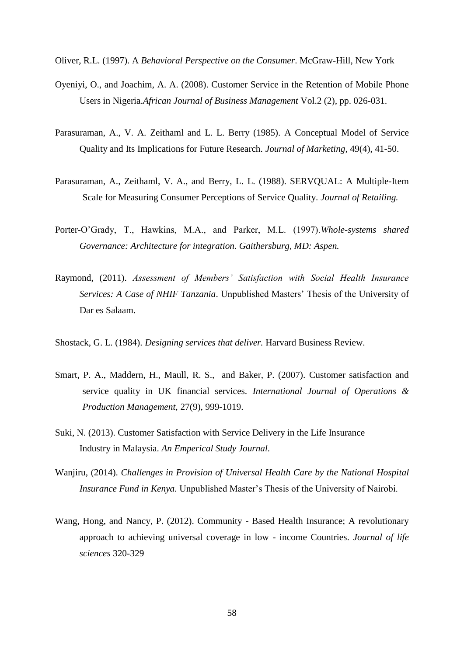Oliver, R.L. (1997). A *Behavioral Perspective on the Consumer*. McGraw-Hill, New York

- Oyeniyi, O., and Joachim, A. A. (2008). Customer Service in the Retention of Mobile Phone Users in Nigeria.*African Journal of Business Management* Vol.2 (2), pp. 026-031.
- Parasuraman, A., V. A. Zeithaml and L. L. Berry (1985). A Conceptual Model of Service Quality and Its Implications for Future Research. *Journal of Marketing,* 49(4), 41-50.
- Parasuraman, A., Zeithaml, V. A., and Berry, L. L. (1988). SERVQUAL: A Multiple-Item Scale for Measuring Consumer Perceptions of Service Quality. *Journal of Retailing.*
- Porter-O'Grady, T., Hawkins, M.A., and Parker, M.L. (1997).*Whole-systems shared Governance: Architecture for integration. Gaithersburg, MD: Aspen.*
- Raymond, (2011). *Assessment of Members' Satisfaction with Social Health Insurance Services: A Case of NHIF Tanzania*. Unpublished Masters' Thesis of the University of Dar es Salaam.
- Shostack, G. L. (1984). *Designing services that deliver.* Harvard Business Review.
- Smart, P. A., Maddern, H., Maull, R. S., and Baker, P. (2007). Customer satisfaction and service quality in UK financial services. *International Journal of Operations & Production Management,* 27(9), 999-1019.
- Suki, N. (2013). Customer Satisfaction with Service Delivery in the Life Insurance Industry in Malaysia. *An Emperical Study Journal.*
- Wanjiru, (2014). *Challenges in Provision of Universal Health Care by the National Hospital Insurance Fund in Kenya.* Unpublished Master's Thesis of the University of Nairobi.
- Wang, Hong, and Nancy, P. (2012). Community Based Health Insurance; A revolutionary approach to achieving universal coverage in low - income Countries. *Journal of life sciences* 320-329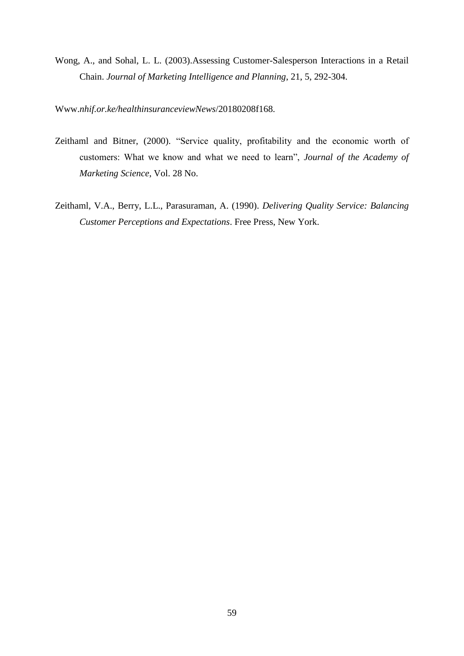Wong, A., and Sohal, L. L. (2003).Assessing Customer-Salesperson Interactions in a Retail Chain. *Journal of Marketing Intelligence and Planning*, 21, 5, 292-304.

Www.*nhif.or.ke/healthinsuranceviewNews*/20180208f168.

- Zeithaml and Bitner, (2000). "Service quality, profitability and the economic worth of customers: What we know and what we need to learn", *Journal of the Academy of Marketing Science*, Vol. 28 No.
- Zeithaml, V.A., Berry, L.L., Parasuraman, A. (1990). *Delivering Quality Service: Balancing Customer Perceptions and Expectations*. Free Press, New York.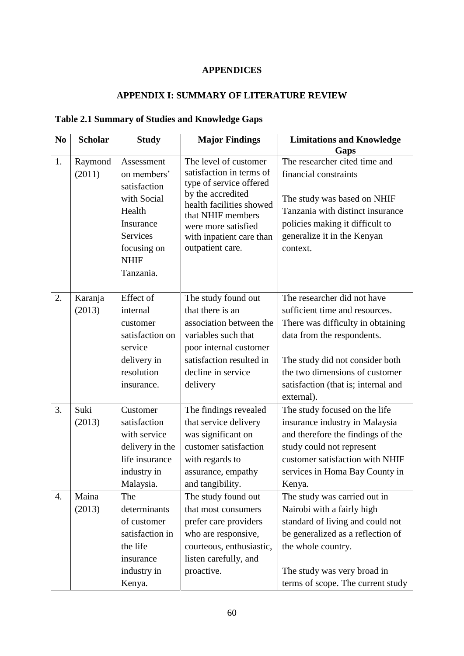# **APPENDICES**

# **APPENDIX I: SUMMARY OF LITERATURE REVIEW**

# <span id="page-59-1"></span><span id="page-59-0"></span>**Table 2.1 Summary of Studies and Knowledge Gaps**

| N <sub>0</sub> | <b>Scholar</b> | <b>Study</b>                 | <b>Major Findings</b>                               | <b>Limitations and Knowledge</b>                               |
|----------------|----------------|------------------------------|-----------------------------------------------------|----------------------------------------------------------------|
|                |                |                              |                                                     | Gaps                                                           |
| 1.             | Raymond        | Assessment                   | The level of customer                               | The researcher cited time and                                  |
|                | (2011)         | on members'                  | satisfaction in terms of<br>type of service offered | financial constraints                                          |
|                |                | satisfaction                 | by the accredited                                   |                                                                |
|                |                | with Social                  | health facilities showed                            | The study was based on NHIF                                    |
|                |                | Health                       | that NHIF members                                   | Tanzania with distinct insurance                               |
|                |                | Insurance<br><b>Services</b> | were more satisfied                                 | policies making it difficult to<br>generalize it in the Kenyan |
|                |                | focusing on                  | with inpatient care than<br>outpatient care.        | context.                                                       |
|                |                | <b>NHIF</b>                  |                                                     |                                                                |
|                |                | Tanzania.                    |                                                     |                                                                |
|                |                |                              |                                                     |                                                                |
| 2.             | Karanja        | Effect of                    | The study found out                                 | The researcher did not have                                    |
|                | (2013)         | internal                     | that there is an                                    | sufficient time and resources.                                 |
|                |                | customer                     | association between the                             | There was difficulty in obtaining                              |
|                |                | satisfaction on              | variables such that                                 | data from the respondents.                                     |
|                |                | service                      | poor internal customer                              |                                                                |
|                |                | delivery in                  | satisfaction resulted in                            | The study did not consider both                                |
|                |                | resolution                   | decline in service                                  | the two dimensions of customer                                 |
|                |                | insurance.                   | delivery                                            | satisfaction (that is; internal and                            |
|                |                |                              |                                                     | external).                                                     |
| 3.             | Suki           | Customer                     | The findings revealed                               | The study focused on the life                                  |
|                | (2013)         | satisfaction                 | that service delivery                               | insurance industry in Malaysia                                 |
|                |                | with service                 | was significant on                                  | and therefore the findings of the                              |
|                |                | delivery in the              | customer satisfaction                               | study could not represent                                      |
|                |                | life insurance               | with regards to                                     | customer satisfaction with NHIF                                |
|                |                | industry in                  | assurance, empathy                                  | services in Homa Bay County in                                 |
|                | Maina          | Malaysia.<br>The             | and tangibility.                                    | Kenya.                                                         |
| 4.             | (2013)         | determinants                 | The study found out<br>that most consumers          | The study was carried out in<br>Nairobi with a fairly high     |
|                |                | of customer                  | prefer care providers                               | standard of living and could not                               |
|                |                | satisfaction in              | who are responsive,                                 | be generalized as a reflection of                              |
|                |                | the life                     | courteous, enthusiastic,                            | the whole country.                                             |
|                |                | insurance                    | listen carefully, and                               |                                                                |
|                |                | industry in                  | proactive.                                          | The study was very broad in                                    |
|                |                | Kenya.                       |                                                     | terms of scope. The current study                              |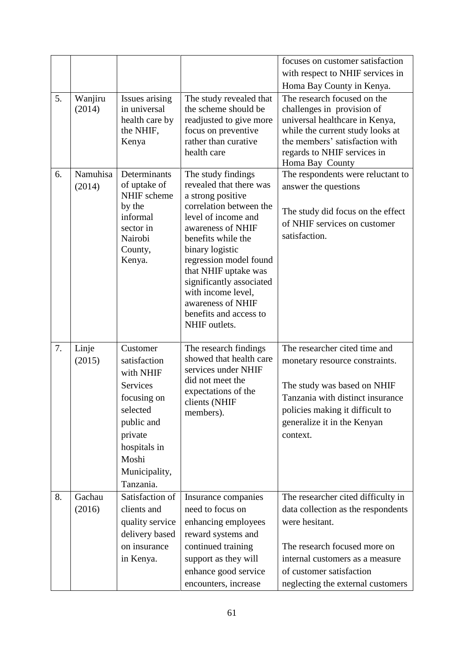|    |                    |                                                                                                                                                                     |                                                                                                                                                                                                                                                                                                                                                        | focuses on customer satisfaction                                                                                                                                                                                               |
|----|--------------------|---------------------------------------------------------------------------------------------------------------------------------------------------------------------|--------------------------------------------------------------------------------------------------------------------------------------------------------------------------------------------------------------------------------------------------------------------------------------------------------------------------------------------------------|--------------------------------------------------------------------------------------------------------------------------------------------------------------------------------------------------------------------------------|
|    |                    |                                                                                                                                                                     |                                                                                                                                                                                                                                                                                                                                                        | with respect to NHIF services in                                                                                                                                                                                               |
|    |                    |                                                                                                                                                                     |                                                                                                                                                                                                                                                                                                                                                        | Homa Bay County in Kenya.                                                                                                                                                                                                      |
| 5. | Wanjiru<br>(2014)  | Issues arising<br>in universal<br>health care by<br>the NHIF,                                                                                                       | The study revealed that<br>the scheme should be<br>readjusted to give more<br>focus on preventive                                                                                                                                                                                                                                                      | The research focused on the<br>challenges in provision of<br>universal healthcare in Kenya,<br>while the current study looks at                                                                                                |
|    |                    | Kenya                                                                                                                                                               | rather than curative<br>health care                                                                                                                                                                                                                                                                                                                    | the members' satisfaction with<br>regards to NHIF services in<br>Homa Bay County                                                                                                                                               |
| 6. | Namuhisa<br>(2014) | Determinants<br>of uptake of<br>NHIF scheme<br>by the<br>informal<br>sector in<br>Nairobi<br>County,<br>Kenya.                                                      | The study findings<br>revealed that there was<br>a strong positive<br>correlation between the<br>level of income and<br>awareness of NHIF<br>benefits while the<br>binary logistic<br>regression model found<br>that NHIF uptake was<br>significantly associated<br>with income level,<br>awareness of NHIF<br>benefits and access to<br>NHIF outlets. | The respondents were reluctant to<br>answer the questions<br>The study did focus on the effect<br>of NHIF services on customer<br>satisfaction.                                                                                |
| 7. | Linje<br>(2015)    | Customer<br>satisfaction<br>with NHIF<br><b>Services</b><br>focusing on<br>selected<br>public and<br>private<br>hospitals in<br>Moshi<br>Municipality,<br>Tanzania. | The research findings<br>showed that health care<br>services under NHIF<br>did not meet the<br>expectations of the<br>clients (NHIF<br>members).                                                                                                                                                                                                       | The researcher cited time and<br>monetary resource constraints.<br>The study was based on NHIF<br>Tanzania with distinct insurance<br>policies making it difficult to<br>generalize it in the Kenyan<br>context.               |
| 8. | Gachau<br>(2016)   | Satisfaction of<br>clients and<br>quality service<br>delivery based<br>on insurance<br>in Kenya.                                                                    | Insurance companies<br>need to focus on<br>enhancing employees<br>reward systems and<br>continued training<br>support as they will<br>enhance good service<br>encounters, increase                                                                                                                                                                     | The researcher cited difficulty in<br>data collection as the respondents<br>were hesitant.<br>The research focused more on<br>internal customers as a measure<br>of customer satisfaction<br>neglecting the external customers |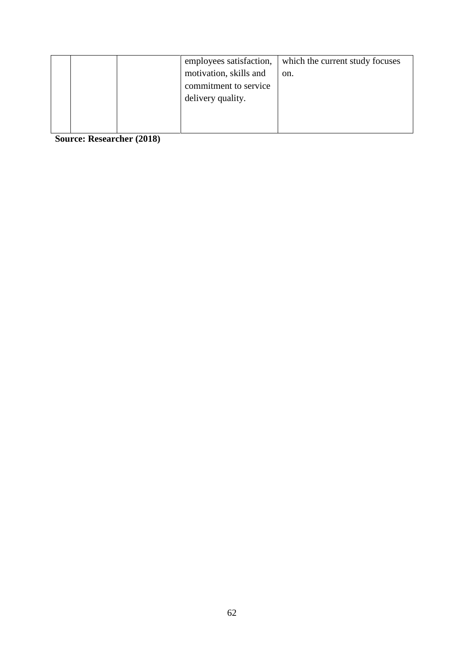| which the current study focuses<br>employees satisfaction, |
|------------------------------------------------------------|
| motivation, skills and<br>on.                              |
| commitment to service                                      |
| delivery quality.                                          |
|                                                            |
|                                                            |

**Source: Researcher (2018)**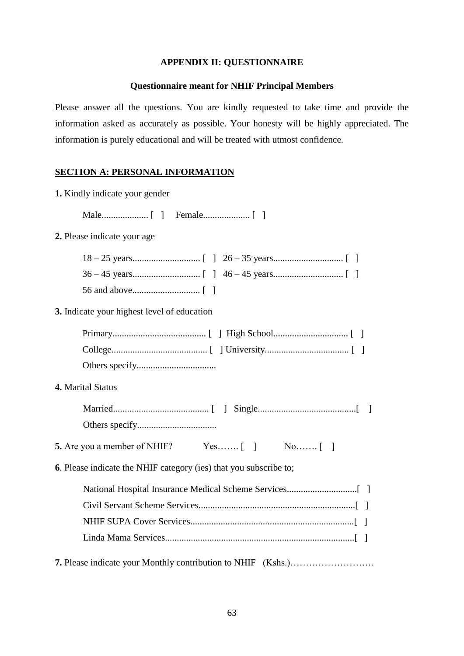## **APPENDIX II: QUESTIONNAIRE**

### **Questionnaire meant for NHIF Principal Members**

<span id="page-62-0"></span>Please answer all the questions. You are kindly requested to take time and provide the information asked as accurately as possible. Your honesty will be highly appreciated. The information is purely educational and will be treated with utmost confidence.

## **SECTION A: PERSONAL INFORMATION**

|  |  |  | 1. Kindly indicate your gender |  |  |
|--|--|--|--------------------------------|--|--|
|--|--|--|--------------------------------|--|--|

Male.................... [ ] Female.................... [ ]

## **2.** Please indicate your age

**3.** Indicate your highest level of education

#### **4.** Marital Status

**5.** Are you a member of NHIF? Yes……. [ ] No……. [ ]

**6**. Please indicate the NHIF category (ies) that you subscribe to;

**7.** Please indicate your Monthly contribution to NHIF (Kshs.)………………………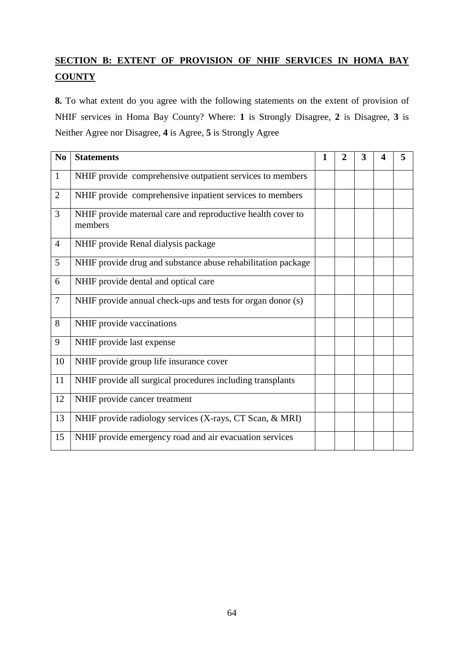# **SECTION B: EXTENT OF PROVISION OF NHIF SERVICES IN HOMA BAY COUNTY**

**8.** To what extent do you agree with the following statements on the extent of provision of NHIF services in Homa Bay County? Where: **1** is Strongly Disagree, **2** is Disagree, **3** is Neither Agree nor Disagree, **4** is Agree, **5** is Strongly Agree

| N <sub>0</sub> | <b>Statements</b>                                                      | $\mathbf{1}$ | $\overline{2}$ | 3 | Δ | 5 |
|----------------|------------------------------------------------------------------------|--------------|----------------|---|---|---|
| $\mathbf{1}$   | NHIF provide comprehensive outpatient services to members              |              |                |   |   |   |
| $\overline{2}$ | NHIF provide comprehensive inpatient services to members               |              |                |   |   |   |
| $\overline{3}$ | NHIF provide maternal care and reproductive health cover to<br>members |              |                |   |   |   |
| $\overline{4}$ | NHIF provide Renal dialysis package                                    |              |                |   |   |   |
| 5              | NHIF provide drug and substance abuse rehabilitation package           |              |                |   |   |   |
| 6              | NHIF provide dental and optical care                                   |              |                |   |   |   |
| $\overline{7}$ | NHIF provide annual check-ups and tests for organ donor (s)            |              |                |   |   |   |
| 8              | NHIF provide vaccinations                                              |              |                |   |   |   |
| 9              | NHIF provide last expense                                              |              |                |   |   |   |
| 10             | NHIF provide group life insurance cover                                |              |                |   |   |   |
| 11             | NHIF provide all surgical procedures including transplants             |              |                |   |   |   |
| 12             | NHIF provide cancer treatment                                          |              |                |   |   |   |
| 13             | NHIF provide radiology services (X-rays, CT Scan, & MRI)               |              |                |   |   |   |
| 15             | NHIF provide emergency road and air evacuation services                |              |                |   |   |   |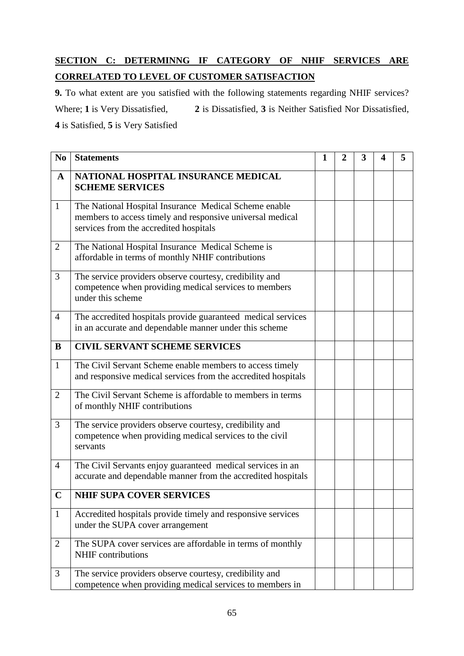# **SECTION C: DETERMINNG IF CATEGORY OF NHIF SERVICES ARE CORRELATED TO LEVEL OF CUSTOMER SATISFACTION**

**9.** To what extent are you satisfied with the following statements regarding NHIF services? Where; **1** is Very Dissatisfied, **2** is Dissatisfied, **3** is Neither Satisfied Nor Dissatisfied, **4** is Satisfied, **5** is Very Satisfied

**No Statements 1 2 3 4 5 A NATIONAL HOSPITAL INSURANCE MEDICAL SCHEME SERVICES** 1 The National Hospital Insurance Medical Scheme enable members to access timely and responsive universal medical services from the accredited hospitals 2 The National Hospital Insurance Medical Scheme is affordable in terms of monthly NHIF contributions 3 The service providers observe courtesy, credibility and competence when providing medical services to members under this scheme 4 The accredited hospitals provide guaranteed medical services in an accurate and dependable manner under this scheme **B CIVIL SERVANT SCHEME SERVICES** 1 The Civil Servant Scheme enable members to access timely and responsive medical services from the accredited hospitals 2 The Civil Servant Scheme is affordable to members in terms of monthly NHIF contributions 3 The service providers observe courtesy, credibility and competence when providing medical services to the civil servants 4 The Civil Servants enjoy guaranteed medical services in an accurate and dependable manner from the accredited hospitals **C NHIF SUPA COVER SERVICES** 1 Accredited hospitals provide timely and responsive services under the SUPA cover arrangement 2 The SUPA cover services are affordable in terms of monthly NHIF contributions 3 The service providers observe courtesy, credibility and competence when providing medical services to members in